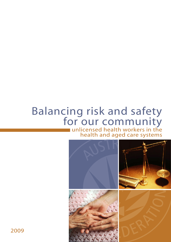# Balancing risk and safety<br>for our community

unlicensed health workers in the health and aged care systems



2009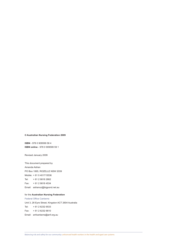## **© Australian Nursing Federation 2009**

**ISBN** - 978 0 909599 58 4 **ISBN online** - 978 0 909599 59 1

Revised January 2009

This document prepared by Amanda Adrian PO Box 1065, ROZELLE NSW 2039 Mobile: + 61 0 401715536 Tel: + 61 2 9818 2662 Fax: + 61 2 9818 4534 Email: adrianoz@bigpond.net.au

## for the **Australian Nursing Federation**

Federal Office Canberra Unit 3, 28 Eyre Street, Kingston ACT 2604 Australia Tel: + 61 2 6232 6533 Fax: + 61 2 6232 6610 Email: anfcanberra@anf.org.au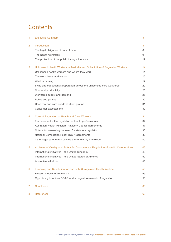# **Contents**

| 1              | <b>Executive Summary</b>                                                         | 3  |
|----------------|----------------------------------------------------------------------------------|----|
| $\overline{2}$ | Introduction                                                                     | 8  |
|                | The legal obligation of duty of care                                             | 8  |
|                | The health workforce                                                             | 9  |
|                | The protection of the public through licensure                                   | 11 |
| 3              | Unlicensed Health Workers in Australia and Substitution of Regulated Workers     | 14 |
|                | Unlicensed health workers and where they work                                    | 14 |
|                | The work these workers do                                                        | 15 |
|                | What is nursing                                                                  | 17 |
|                | Skills and educational preparation across the unlicensed care workforce          | 20 |
|                | Cost and productivity                                                            | 25 |
|                | Workforce supply and demand                                                      | 26 |
|                | Policy and politics                                                              | 30 |
|                | Case mix and care needs of client groups                                         | 31 |
|                | Consumer expectations                                                            | 32 |
| 4              | <b>Current Regulation of Health and Care Workers</b>                             | 34 |
|                | Frameworks for the regulation of health professionals                            | 34 |
|                | Australian Health Ministers' Advisory Council agreements                         | 37 |
|                | Criteria for assessing the need for statutory regulation                         | 38 |
|                | National Competition Policy (NCP) agreements                                     | 39 |
|                | Other legal safeguards outside the regulatory framework                          | 40 |
| 5              | An Issue of Quality and Safety for Consumers - Regulation of Health Care Workers | 46 |
|                | International initiatives - the United Kingdom                                   | 46 |
|                | International initiatives – the United States of America                         | 50 |
|                | Australian initiatives                                                           | 51 |
| 6              | Licensing and Regulation for Currently Unregulated Health Workers                | 55 |
|                | Existing models of regulation                                                    | 55 |
|                | Opportunity knocks - COAG and a cogent framework of regulation                   | 56 |
| 7              | Conclusion                                                                       | 60 |
| 8              | <b>References</b>                                                                | 63 |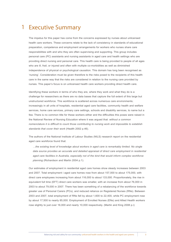## Executive Summary 1

The impetus for this paper has come from the concerns expressed by nurses about unlicensed health care workers. These concerns relate to the lack of consistency in standards of educational preparation, competence and employment arrangements for workers who nurses share care responsibilities with and who they are often supervising and supporting. This group includes personal care (PC) assistants and nursing assistants in aged care and health settings who are providing direct nursing and personal care. This health care is being provided to people of all ages who are ill, frail, or injured and often with multiple co-morbidities as well as diminished independence of physical or psychological causation. This domain has long been recognised as 'nursing'. Consideration must be given therefore to the risks posed to the recipients of this health care in the same way that the risks are considered in relation to the nursing care provided by nurses. This paper's focus is on unlicensed health care workers providing direct health care.

Identifying these workers in terms of who they are, where they work and what they do is a challenge for researchers as there are no data bases that capture the full extent of this large but unstructured workforce. This workforce is scattered across numerous care environments; increasingly in all units of hospitals, residential aged care facilities, community health and welfare services, home care services, primary care settings, schools and disability services, to name but a few. There is no common title for these workers either and the difficulties this poses were raised in the National Review of Nursing Education where it was argued that: *without a common nomenclature it is difficult to count those contributing to nursing work and impossible to establish standards that cover their work* (Health 2002 p.46).

The authors of the National Institute of Labour Studies (NILS) research report on the residential aged care workforce found that:

*…the existing level of knowledge about workers in aged care is remarkably limited. No single data source provides an accurate and detailed appraisal of direct care employment in residential aged care facilities in Australia, especially not of the kind that would inform complex workforce planning* (Richardson and Martin 2004 p.1).

Our estimates of employment in residential aged care homes show steady increases between 2003 and 2007. Total employment i aged care homes rose from about 157,000 to about 175,000, with direct care employees increasing from about 116,000 to about 133,000. Proportionately, the rise in equivalent full time (EFT) direct care workers was smaller, with an increase from about 76,000 in 2003 to about 79,000 in 2007. There has been something of a rebalancing of the workforce towards greater use of Personal Carers (PCs), and reduced reliance on Registered Nurses (RNs). Between 2003 and 2007, total employment of RNs fell by about 1,600 to 22,400, while PC employment rose by about 17,500 to nearly 85,000. Employment of Enrolled Nurses (ENs) and Allied Health workers rose slightly to just over 16,000 and nearly 10,000 respectively. (Martin and King 2008 p.i)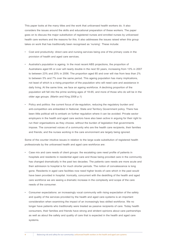This paper looks at the many titles and the work that unlicensed health workers do. It also considers the issues around the skills and educational preparation of these workers. The paper goes on to discuss the major substitution of registered nurses and enrolled nurses by unlicensed health care workers and the reasons for this. It also addresses the issues raised when this group takes on work that has traditionally been recognised as 'nursing'. These include:

- Cost and productivity: direct care and nursing services being one of the primary costs in the provision of health and aged care services.
- Australia's population is ageing. In the most recent ABS projections, the proportion of Australians aged 65 or over will nearly double in the next 50 years, increasing from 13% in 2007 to between 23% and 25% in 2056. The proportion aged 85 and over will rise from less than 2% to between 5% and 7% over the same period. This ageing population has many implications, not least of which is a rising proportion of the population who will need care and assistance in daily living. At the same time, we face an ageing workforce. A declining proportion of the population will fall into the prime working ages of 18-65, and more of those who do will be in the older age groups. (Martin and King 2008 p.1)
- Policy and politics: the current focus of de-regulation, reducing the regulatory burden and anti-competition are embedded in National, State and Territory Government policy. There has been little political will to embark on further regulation where it can be avoided. Private sector employers in the health and aged care sectors have also been active in arguing for their right to run their organisations as they choose, without the burden of legislation that governments impose. The concerned voices of a community who are the health care recipients, their families and friends; and the nurses working in the care environment are largely being ignored.

Some of the counter intuitive issues in relation to the large scale substitution of registered health professionals by the unlicensed health and aged care workforce are:

- Case mix and care needs of client groups: the escalating care need profile of patients in hospitals and residents in residential aged care and those being provided care in the community has changed dramatically in the past two decades. The patients care needs are more acute and their admission to hospital is for much shorter periods. The notion of convalescence is long gone. Residents in aged care facilities now need higher levels of care which in the past would have been provided in hospital. Ironically, concurrent with the deskilling of the health and aged care workforce we are seeing a dramatic increase in the complexity and scope of the care needs of the consumer.
- Consumer expectations: an increasingly vocal community with rising expectation of the safety and quality of the services provided by the health and aged care systems is an important consideration when examining the impact of an increasingly less skilled workforce. We no longer have patients who traditionally were treated as passive recipients of care. Today health consumers, their families and friends have strong and strident opinions about care partnerships as well as about the safety and quality of care that is expected in the health and aged care systems.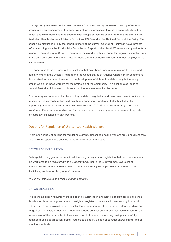The regulatory mechanisms for health workers from the currently registered health professional groups are also considered in the paper as well as the processes that have been established to review and make decisions in relation to what groups of workers should be regulated through the Australian Health Ministers Advisory Council (AHMAC) and under National Competition Policy. The paper also discusses briefly the opportunities that the current Council of Australian Governments' reforms coming from the Productivity Commission Report on the Health Workforce can provide for a review of the status quo. Some of the non-specific and largely disconnected regulatory mechanisms that create both obligations and rights for these unlicensed health workers and their employers are also reviewed.

The paper also looks at some of the initiatives that have been occurring in relation to unlicensed health workers in the United Kingdom and the United States of America where similar concerns to those raised in this paper have led to the development of different models of regulation being embarked on for these workers for the protection of the community. This section also looks at several Australian initiatives in this area that has relevance to the discussion.

The paper goes on to examine the existing models of regulation and then uses these to outline the options for the currently unlicensed health and aged care workforce. It also highlights the opportunity that the Council of Australian Governments (COAG) reforms in the regulated health workforce offer as a rational direction for the introduction of a comprehensive regime of regulation for currently unlicensed health workers.

## Options for Regulation of Unlicensed Health Workers

There are a range of options for regulating currently unlicensed health workers providing direct care. The following options are outlined in more detail later in this paper.

## OPTION 1: SELF-REGULATION

Self-regulation suggest no occupational licensing or registration legislation that requires members of the workforce to be registered with a statutory body, nor is there government oversight of educational and work standards development or a formal judicial process that makes up the disciplinary system for the group of workers.

*This is the status quo and NOT supported by ANF.*

## OPTION 2: LICENSING

The licensing option requires there is a formal classification and naming of craft groups and their details are placed on a government oversighted register of persons who are working in specific industries. To be employed in that industry the person has to establish their credentials which can range from: minimal, eg not having had any serious criminal convictions that would impact on an assessment of their character in their area of work; to more onerous, eg having successfully obtained a basic qualification, being required to abide by a code of conduct and/or ethics, and/or practice standards.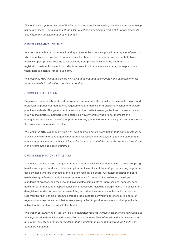*This option IS supported by the ANF with basic standards for education, practice and conduct being*  set as a baseline. The outcomes of the pilot project being conducted by the NHS Scotland should *also inform the development of such a model.*

## OPTION 3: NEGATIVE LICENSING

Any person is able to work in health and aged care unless they are placed on a register of persons who are ineligible to practise. It does not establish barriers to entry to the workforce, but allows those with poor practice records to be excluded from practising without the need for a full registration system. However it provides less protection to consumers and may be inappropriate when there is potential for serious harm.

*This option is NOT supported by the ANF as it does not adequately protect the community or set basic standards for education, practice or conduct.*

## OPTION 4: CO-REGULATION

Regulatory responsibility is shared between government and the industry. For example, unions and professional groups set membership requirements and administer a disciplinary scheme to ensure practice standards. The government monitors and accredits these organisations to ensure they act in a way that protects members of the public. However workers who are not members of a co-regulated association or craft group are not legally prevented from practising or using the titles of the profession under such a system.

*This option is NOT supported by the ANF as it operates on the presumption that workers identify as a class of worker and have organised in formal collectives and developed codes and standards of education, practice and conduct which is not a feature of most of the currently unlicensed workforce in the health and aged care industries.*

#### OPTION 5: RESERVATION OF TITLE ONLY

This option, as with option 2, requires there is a formal classification and naming of craft groups eg health care support workers. Under this option particular titles of the craft group can only legally be used by those who are licensed by the relevant registration board. A statutory registration board establishes qualifications and character requirements for entry to the profession, develops standards of practice, and receives and investigates complaints of unprofessional conduct, poor health or performance and applies sanctions, if necessary, including deregistration. It is difficult for a deregistered worker to practise because if they advertise their services to the public or use the reserved title they can be prosecuted through the courts for committing an offence. This form of regulation assures consumers that workers are qualified to provide services and their practice is subject to the scrutiny of a registration board.

*This option IS supported by the ANF as it is consistent with the current system for the registration of health professionals which could be modified to add another level of health and aged care worker to*  an already established model of regulation that is understood by community and the health and *aged care industries.*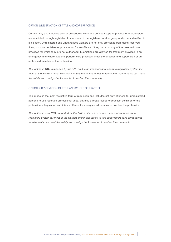## OPTION 6: RESERVATION OF TITLE AND CORE PRACTICES

Certain risky and intrusive acts or procedures within the defined scope of practice of a profession are restricted through legislation to members of the registered worker group and others identified in legislation. Unregistered and unauthorised workers are not only prohibited from using reserved titles, but may be liable for prosecution for an offence if they carry out any of the reserved core practices for which they are not authorised. Exemptions are allowed for treatment provided in an emergency and where students perform core practices under the direction and supervision of an authorised member of the profession.

*This option is NOT supported by the ANF as it is an unnecessarily onerous regulatory system for most of the workers under discussion in this paper where less burdensome requirements can meet the safety and quality checks needed to protect the community.*

## OPTION 7: RESERVATION OF TITLE AND WHOLE OF PRACTICE

This model is the most restrictive form of regulation and includes not only offences for unregistered persons to use reserved professional titles, but also a broad 'scope of practice' definition of the profession in legislation and it is an offence for unregistered persons to practise the profession.

*This option is also NOT supported by the ANF as it is an even more unnecessarily onerous*  regulatory system for most of the workers under discussion in this paper where less burdensome *requirements can meet the safety and quality checks needed to protect the community.*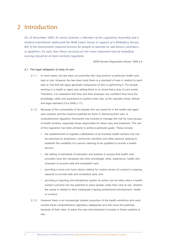## 2 Introduction

*On 19 November 1895, Dr James Graham, a Member of the Legislative Assembly and a medical practitioner addressed the NSW Lower House in support of a Midwifery Nurses Bill. If the Government required licences for people to operate as cab-drivers, plumbers, or gasfitters, he said, then those carrying out the more important task of midwifery nursing should be at least similarly regulated.*

NSW Nurses Registration Board 1998 p.9

## **2.1 The legal obligation of duty of care**

- 2.1.1 In most cases, the law does not prescribe who may perform a particular health care task or role. However the law does insist there is a standard of care in relation to each task or role that will apply generally irrespective of who is performing it. For people working in a health or aged care setting there is no doubt that a duty of care exists. Therefore, it is imperative that they and their employer are confident they have the knowledge, skills and experience to perform their role, at the requisite moral, ethical and legal standard (Cox 2006 p.17).
- 2.1.2 Because of the vulnerability of the people who are cared for in the health and aged care systems and the inherent potential for harm in delivering their care. A comprehensive regulatory framework has evolved to manage this risk for most groups of health workers, especially those responsible for direct care and treatment. The role of this regulation has been primarily to achieve particular goals. These include:
	- • the establishment of registers (databases) of all licensed health workers that can be searched by employers, community members and other persons seeking to establish the credibility of a person claiming to be qualified to provide a health service;
	- the setting of standards of education and practice to ensure that health care providers have the necessary job entry knowledge, skills, experience, health and character to provide safe and competent care;
	- providing a more and more robust method for routine review of a person's ongoing capacity to provide safe and competent care; and
	- providing a reporting and disciplinary system so action can be taken when a health worker's practice has the potential to place people under their care at risk, whether the cause is related to their inadequate ongoing professional development, health or conduct.
- 2.1.3 However there is an increasingly sizable proportion of the health workforce who work outside these comprehensive regulatory safeguards and who have the potential, because of their roles, to place the care and treatment of people in these systems at risk.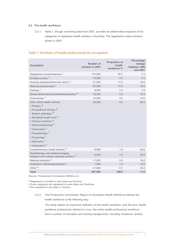## **2.2 The health workforce**

2.2.1 Table 1, though containing data from 2001, provides an abbreviated snapshot of the categories of registered health workers in Australia. The registration status remains similar in 2007.

## Table 1: Numbers of health professionals by occupation

| <b>Occupation</b>                                                                                                                                                                                                                                                                         | Number of<br>workers in 2001 | <b>Proportion of</b><br>health<br>workforce % | Percentage<br>change<br>between 1996<br>and 2001 |
|-------------------------------------------------------------------------------------------------------------------------------------------------------------------------------------------------------------------------------------------------------------------------------------------|------------------------------|-----------------------------------------------|--------------------------------------------------|
| Registered nurses/midwives *                                                                                                                                                                                                                                                              | 174,000                      | 38.7                                          | 7.3                                              |
| Enrolled nurses *                                                                                                                                                                                                                                                                         | 19,000                       | 4.3                                           | 2.7                                              |
| Nursing assistants/personal carers ^                                                                                                                                                                                                                                                      | 51,000                       | 11.2                                          | 18.8                                             |
| Medical professionals *                                                                                                                                                                                                                                                                   | 52,000                       | 11.5                                          | 12.6                                             |
| Dentists <sup>*</sup>                                                                                                                                                                                                                                                                     | 8,000                        | 1.9                                           | 7.9                                              |
| Dental technicians/prosthetists/assistants +                                                                                                                                                                                                                                              | 18,000                       | 3.9                                           | 12.5                                             |
| Pharmacists <sup>*</sup>                                                                                                                                                                                                                                                                  | 14,000                       | 3.0                                           | 13.0                                             |
| Other allied health workers<br>• Podiatry <sup>+</sup><br>• Occupational therapy +<br>• Speech pathology +<br>• Aboriginal health work +<br>• Chinese medicine +<br>• Optical dispensing +<br>• Chiropractic *<br>• Physiotherapy *<br>• Psychology *<br>• Optometry *<br>• Osteopathic * | 39,000                       | 8.6                                           | 26.5                                             |
| Complementary health workers +                                                                                                                                                                                                                                                            | 9,000                        | 1.9                                           | 29.6                                             |
| Radiotherapy and medical imaging,<br>radiation and nuclear medicine workers <sup>+</sup>                                                                                                                                                                                                  | 8,000                        | 1.8                                           | 25.0                                             |
| Medical scientists ^                                                                                                                                                                                                                                                                      | 11,000                       | 2.6                                           | 16.8                                             |
| Ambulance officers/paramedics ^                                                                                                                                                                                                                                                           | 7,000                        | 1.5                                           | 12.5                                             |
| Other ^                                                                                                                                                                                                                                                                                   | 41,000                       | 9.1                                           | 30.2                                             |
| <b>Total</b>                                                                                                                                                                                                                                                                              | 451,000                      | 100.0                                         | 11.6                                             |

*Source: Productivity Commission 2005d p.xvi*

**\*** Registered or enrolled in each State and Territory

**+** Some categories are registered in some State and Territories

**^** Not registered in any State or Territory

2.2.2 The Productivity Commission Report on Australia's Health Workforce defines the health workforce in the following way:

*The study adopts an expansive definition of the health workforce, with the term 'health workforce professional' defined to cover 'the entire health professional workforce', from a number of education and training backgrounds, including vocational, tertiary,*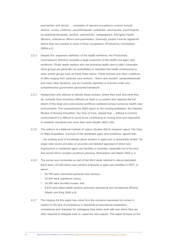*post-tertiary and clinical. ….examples of relevant occupations covered include: doctors, nurses, midwives, physiotherapists, podiatrists, pharmacists, psychologists, occupational therapists, dentists, optometrists, radiographers, Aboriginal Health Workers, ambulance officers and paramedics. Generally, people must be registered before they can practise in most of these occupations.* (Productivity Commission 2005d p.2)

- 2.2.3 Despite this 'expansive definition' of the health workforce, the Productivity Commission's definition excludes a large proportion of the health and aged care workforce. Those health workers who are providing health care to often vulnerable client groups are generally not quantifiable or classified into health professional or other worker groups such as those listed above. These workers who have a plethora of titles ranging from 'personal care workers', 'direct care workers' 'paraprofessionals' and many other iterations, are not currently regulated or licensed under any comprehensive government sponsored framework.
- 2.2.4 Researchers who attempt to identify these workers, where they work and what they do, currently have enormous difficulty as there is no system that captures the full extent of this large and unstructured workforce scattered across numerous health care environments. The comprehensive 2002 report on the nursing profession, the National Review of Nursing Education: *Our Duty of Care,* argued that: …*without a common nomenclature it is difficult to count those contributing to nursing work and impossible to establish standards that cover their work* (Health 2002 p.46).
- 2.2.5 The authors of a National Institute of Labour Studies (NILS) research report: The Care of Older Australians: A picture of the residential aged care workforce, agreed that: *…the existing level of knowledge about workers in aged care is remarkably limited. No single data source provides an accurate and detailed appraisal of direct care employment in residential aged care facilities in Australia, especially not of the kind that would inform complex workforce planning.* (Richardson and Martin 2004 p.1)
- 2.2.6 The survey was conducted as part of the NILS study referred to above estimated there were 133,000 direct care workers employed in aged care facilities in 2007, of whom:
	- • 84,750 were unlicensed personal care workers,
	- 22,400 were registered nurses,
	- 16,300 were enrolled nurses, and
	- 9,875 were allied health workers (primarily diversional and recreational officers) (Martin and King 2008 p.9).
- 2.2.7 The impetus for this paper has come from the concerns expressed by nurses in relation to the lack of consistency in standards of educational preparation, competence and character for colleagues they share work with and whom they are often required to delegate work to, supervise and support. This paper focuses on the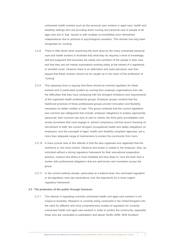unlicensed health workers such as the personal care workers in aged care, health and disability settings who are providing direct nursing and personal care to people of all ages who are ill, frail, injured or with multiple co-morbidities an/or diminished independence due to physical or psychological causation. This domain has long been recognised as 'nursing'.

- 2.2.8 There is little doubt when examining the work done by the many unlicensed personal care and health workers in Australia that what they do requires a level of knowledge, skill and judgment that traverses the needs and condition of the people in their care and that they are not merely automatons working solely at the behest of a registered or enrolled nurse. However there is an alternative and quite pervasive view that argues that these workers should not be caught up in the rubric of the profession of 'nursing'.
- 2.2.9 This opposing force is arguing that there should be minimal regulation for these workers and is particularly evident as coming from employer organisations who cite the difficulties that they have complying with the stringent limitations and requirements of the organised health professional groups. Employer groups contend that the traditional practices of these professional groups prevent innovation and flexibility necessary for better models of care. This group contends that the current legislative and common law safeguards that include: employer obligations to employ appropriate personnel; their common law duty of care to clients; the third party accreditation and review processes that most engage in; almost compulsory criminal record checking on recruitment of staff; the current stringent occupational health and safety obligations on employers; and the oversight of aged, health and disability complaint agencies; are a more than adequate range of mechanisms to protect the community from harm.
- 2.2.10 A more cynical view of this attitude is that the less organised and neglected that the workforce is, the more control, influence and power is vested in the employer. Also, an individual without a strong regulatory framework for their educational preparation, practice, conduct and ethics is more biddable and less likely to 'rock the boat' than a worker with professional obligations that are well known and consistent across the group.
- 2.2.11 In the current political climate, particularly at a federal level, this minimalist regulation or de-regulatory view has ascendancy over the arguments for a more cogent regulatory framework.

#### **2.3 The protection of the public through licensure**

2.3.1 The interest in regulating currently unlicensed health and aged care workers is not unique to Australia. Research is currently being conducted in the United Kingdom into the need for different and more comprehensive models of regulation for currently unlicensed health and aged care workers in order to protect the community, especially those who are vulnerable to exploitation and abuse (Duffin 2006; NHS Scotland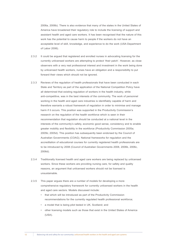2006a, 2006b). There is also evidence that many of the states in the United States of America have broadened their regulatory role to include the licensing of support and assistant health and aged care workers. It has been recognised that the nature of this work has the potential to cause harm to people if the workers do not have an acceptable level of skill, knowledge, and experience to do the work (USA Department of Labor 2006).

- 2.3.2 It could be argued that registered and enrolled nurses in advocating licensing for the currently unlicensed workers are attempting to protect 'their patch'. However, as close observers with a very real professional interest and investment in the work being done by unlicensed health workers, nurses have an obligation and a responsibility to put forward their views which should not be ignored.
- 2.3.3 Reviews of the regulation of health professionals that have been conducted in each State and Territory as part of the application of the National Competition Policy have all determined that existing regulation of workers in the health industry, while anti-competitive, was in the best interests of the community. The work of personnel working in the health and aged care industries is identifiably capable of harm and therefore warrants a robust framework of regulation in order to minimise and manage harm if it occurs. This position was supported in the Productivity Commission's research on the regulation of the health workforce which is seen in their recommendation that regulation should be conducted at a national level in the interests of the community's safety, economic good sense, consistency and to enable greater mobility and flexibility in the workforce (Productivity Commission 2005a; 2005b; 2005d). This position has subsequently been endorsed by the Council of Australian Governments (COAG). National frameworks for regulation and the accreditation of educational courses for currently registered health professionals are to be introduced by 2008 (Council of Australian Governments 2008, 2006b, 2006c, 2006d).
- 2.3.4 Traditionally licensed health and aged care workers are being replaced by unlicensed workers. Since these workers are providing nursing care, for safety and quality reasons, an argument that unlicensed workers should not be licensed is unsustainable.
- 2.3.5 This paper argues there are a number of models for developing a more comprehensive regulatory framework for currently unlicensed workers in the health and aged care sectors. Models discussed include:
	- • that which will be introduced as part of the Productivity Commission recommendations for the currently regulated health professional workforce;
	- • a model that is being pilot tested in UK, Scotland; and
	- other licensing models such as those that exist in the United States of America (USA).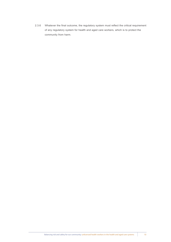2.3.6 Whatever the final outcome, the regulatory system must reflect the critical requirement of any regulatory system for health and aged care workers, which is to protect the community from harm.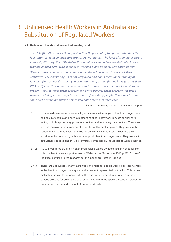# Unlicensed Health Workers in Australia and 3Substitution of Regulated Workers

## **3.1 Unlicensed health workers and where they work**

*The HSU (Health Services Union) noted that 80 per cent of the people who directly look after residents in aged care are carers, not nurses. The level of training of carers varies significantly. The HSU stated that providers can and do use staff who have no training in aged care, with some even working alone at night. One carer stated: 'Personal carers come in and I cannot understand how on earth they got their certificate. Their basic English is not very good and nor is their understanding of looking after somebody. When you orientate them, although they have just got their PC 3 certificate they do not even know how to shower a person, how to wash them properly, how to toilet them properly or how to transfer them properly. Yet these people are being put into aged care to look after elderly people. There needs to be some sort of training outside before you enter them into aged care.*

Senate Community Affairs Committee 2005 p.19

- 3.1.1 Unlicensed care workers are employed across a wide range of health and aged care settings in Australia and have a plethora of titles. They work in acute clinical care settings - in hospitals, day procedure centres and in primary care centres. They also work in the slow stream rehabilitation sector of the health system. They work in the residential aged care sector and residential disability care sector. They are also working in the community in home care, public health and aged care. They work with ambulance services and they are privately contracted by individuals to work in homes.
- 3.1.2 A 2004 workforce study by Health Professions Wales UK identified 147 titles for the role of a health care support worker in Wales alone (Robertson 2006 p.22). Some of the titles identified in the research for this paper are listed in Table 2.
- 3.1.3 There are undoubtedly many more titles and roles for people working as care workers in the health and aged care systems that are not represented on this list. This in itself highlights the challenge posed when there is no universal classification system or census process for being able to track or understand the specific issues in relation to the role, education and conduct of these individuals.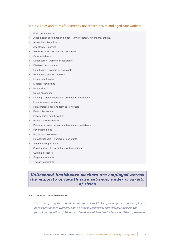## Table 2: Titles and terms for currently unlicensed health and aged care workers

- Aged person carer
- Allied health assistants and aides  $-$  physiotherapy, diversional therapy
- Anaesthetic technicians
- Assistants in nursing
- Assistive or support nursing personnel
- • Care assistants
- • Direct carers, workers or assistants
- • Disabled person carer
- Health care workers or assistants
- Health care support workers
- Home health aides
- **Medical technicians**
- • Nurse aides
- Nurse assistants
- Nursing aides, assistants, orderlies or attendants
- Long term care workers
- Para-professional long term care workers
- **Paraprofessionals**
- • Para-medical health worker
- • Patient care technician
- Personal carers, workers, attendants or assistants
- • Psychiatric aides
- Physician's assistants
- Residential care workers or assistants
- Scientific support staff
- Scout and scrub assistants or technicians
- Surgical dressers
- Surgical assistants
- Therapy assistants

## *Unlicensed healthcare workers are employed across the majority of health care settings, under a variety of titles*

## **3.2 The work these workers do**

*The ratio of staff to residents is said to be 2 to 11. All of those persons are employed as residential care workers. Some of these residential care workers possess the formal qualification of Advanced Certificate of Residential Services. Others possess no*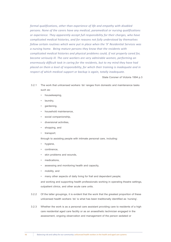*formal qualifications, other than experience of life and empathy with disabled persons. None of the carers have any medical, paramedical or nursing qualifications or experience. They apparently accept full responsibility for their charges, who have complicated medical histories, and for reasons not fully understood by themselves follow certain routines which were put in place when the 'X' Residential Services was a nursing home. Being mature persons they know that the residents with complicated medical histories and physical problems could, if not properly cared for, become seriously ill. The care workers are very admirable women, performing an enormously difficult task in caring for the residents, but to my mind they have had placed on them a level of responsibility, for which their training is inadequate and in respect of which medical support or backup is again, totally inadequate.*

State Coroner of Victoria 1994 p.3

- 3.2.1 The work that unlicensed workers 'do' ranges from domestic and maintenance tasks such as:
	- housekeeping,
	- • laundry,
	- gardening,
	- household maintenance,
	- social companionship,
	- diversional activities,
	- shopping, and
	- transport;

through to assisting people with intimate personal care, including:

- hygiene,
- • continence,
- skin problems and wounds,
- medications.
- assessing and monitoring health and capacity,
- mobility, and
- many other aspects of daily living for frail and dependent people;

and working and supporting health professionals working in operating theatre settings, outpatient clinics, and other acute care units.

- 3.2.2 Of the latter groupings, it is evident that the work that the greatest proportion of these unlicensed health workers 'do' is what has been traditionally identified as 'nursing'.
- 3.2.3 Whether the work is as a personal care assistant providing care to residents of a high care residential aged care facility or as an anaesthetic technician engaged in the assessment, ongoing observation and management of the person sedated or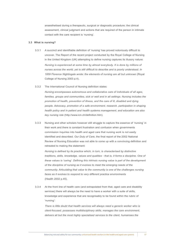anaesthetised during a therapeutic, surgical or diagnostic procedure; the clinical assessment, clinical judgment and actions that are required of the person in intimate contact with the care recipient is 'nursing'.

### **3.3 What is nursing?**

- 3.3.1 A succinct and identifiable definition of 'nursing' has proved notoriously difficult to uncover. The Report of the recent project conducted by the Royal College of Nursing in the United Kingdom (UK) attempting to define nursing captures its illusory nature: *Nursing is experienced at some time by almost everybody. It is done by millions of nurses across the world, yet is still difficult to describe and is poorly understood. In 1859 Florence Nightingale wrote: the elements of nursing are all but unknown* (Royal College of Nursing 2003 p.4).
- 3.3.2 The International Council of Nursing definition states:

*Nursing encompasses autonomous and collaborative care of individuals of all ages,*  families, groups and communities, sick or well and in all settings. Nursing includes the *promotion of health, prevention of illness, and the care of ill, disabled and dying people. Advocacy, promotion of a safe environment, research, participation in shaping health policy and in patient and health systems management, and education are also key nursing role* (http://www.icn.ch/definition.htm).

3.3.3 Nursing and other scholars however still struggle to capture the essence of 'nursing' in their work and there is constant frustration and confusion when governments commission inquiries into health and aged care that nursing work is not easily identified and described. *Our Duty of Care,* the final report of the 2002 National Review of Nursing Education was not able to come up with a convincing definition and retreated to making the statement:

*Nursing is defined by its practice which, in turn, is characterised by distinctive traditions, skills, knowledge, values and qualities - that is, it forms a discipline. One of these values is 'caring'. Defining this intrinsic nursing value is part of the development of the discipline of nursing as it evolves to meet the emerging needs of the community. Articulating that value to the community is one of the challenges nursing faces as it evolves to respond to very different practice environments* (Health 2002 p.45).

3.3.4 At the front line of health care (and extrapolated from that, aged care and disability services) there will always be the need to have a worker with a suite of skills, knowledge and experience that are recognisably to be found within the rubric of 'nursing':

*There is little doubt that health services will always need a generic worker who is client-focused, possesses multidisciplinary skills, manages the care environment, delivers all but the most highly specialised services to the client, humanises the*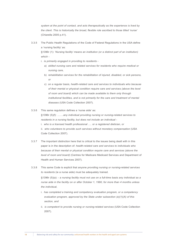*system at the point of contact, and acts therapeutically as the experience is lived by the client. This is historically the broad, flexible role ascribed to those titled 'nurse'*  (Chiarella 2005 p.41).

3.3.5 The Public Health Regulations of the Code of Federal Regulations in the USA define a 'nursing facility' as:

§1396r (1): *'Nursing facility' means an institution (or a distinct part of an institution) which -*

- i. *is primarily engaged in providing to residents* 
	- a) *skilled nursing care and related services for residents who require medical or nursing care,*
	- b) *rehabilitation services for the rehabilitation of injured, disabled, or sick persons, or*
	- c) *on a regular basis, health-related care and services to individuals who because of their mental or physical condition require care and services (above the level of room and board) which can be made available to them only through institutional facilities, and is not primarily for the care and treatment of mental diseases* (USA Code Collection 2007).
- 3.3.6 This same regulation defines a 'nurse aide' as:

§1396r (5)(f): *…….any individual providing nursing or nursing-related services to residents in a nursing facility, but does not include an individual -* 

i. *who is a licensed health professional …. or a registered dietician, or*

ii. *who volunteers to provide such services without monetary compensation* (USA Code Collection 2007).

- 3.3.7 The important distinction here that is critical to the issues being dealt with in this paper is in the description of: *health-related care and services to individuals who because of their mental or physical condition require care and services (above the level of room and board)* (Centres for Medicare Medicaid Services and Department of Health and Human Services 2007).
- 3.3.8 This same Code is explicit that anyone *providing nursing or nursing-related services to residents* (ie a nurse aide) must be adequately trained. §1396r (5)(a): - *a nursing facility must not use on a full-time basis any individual as a nurse aide in the facility on or after October 1, 1990, for more than 4 months unless the individual,*
	- i. *has completed a training and competency evaluation program, or a competency evaluation program, approved by the State under subsection (e)(1)(A) of this section, and*
	- ii. *is competent to provide nursing or nursing-related services* (USA Code Collection 2007).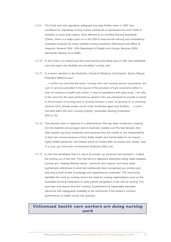- 3.3.9 The Code took this regulatory safeguard one step further when in 1987 new conditions for regulating nursing homes introduced a requirement for each State to establish a nurse aide registry. Now referred to as Certified Nursing Assistants (CNAs), there is a major push on in the USA to improve the training and competency evaluation program for these certified nursing assistants (Rehnquist and Office of Inspector General 2002; USA Department of Health and Human Services 2004; Hernandez-Medina et al 2006).
- 3.3.10 In this Code it is unequivocal that most persons providing care in high care residential care and aged care facilities are providing 'nursing care'.
- 3.3.11 In a recent decision in the Australian Industrial Relations Commission, Senior Deputy President Williams says:

*….I confirm my view that the terms 'nursing care' and 'nursing service' encompass any care or services provided in the course of the provision of care to persons either in need of medical or health care and/or in need of assistance with daily living. I am also of the view that the work performed by persons who are employed to provide or assist in the provision of nursing care or nursing services or both, to persons in, or receiving services from, private and/or not for profit residential aged care facilities… is work that falls within the term 'nursing industry'* (Australian Nursing Federation 2004 p.16).

- 3.3.12 This decision was in response to a phenomenon that has been insidiously creeping into the dialectic around aged care in Australia, notably over the last decade, that older people requiring residential care because they are unable to live independently in their own homes because of their frailty, health and mental state do not require highly skilled personnel, *but instead would be looked after by people who simply 'care' in a cosy, yet 'home-like' environment* (Dulhunty 2002 p.6).
- 3.3.13 A view has developed that if a role is re-named, eg 'personal care assistant', it takes the nursing out of the role. This has led to a fallacious distinction being made between nursing and 'meeting lifestyle needs', 'personal care support' and many other euphemistic references to what has traditionally been recognised as nursing work, requiring a level of skill, knowledge and experience to undertake. The community identifies the work as nursing, hence the need for nursing organisations such as the Australian Nursing Federation to seek judicial recognition of the role as nursing. The next step is to ensure that this 'nursing' is performed by adequately educated personnel with safeguards available to the community if the worker's conduct, performance or health comes into question.

## *Unlicensed health care workers are doing nursing work*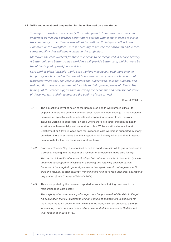#### **3.4 Skills and educational preparation for the unlicensed care workforce**

*Training care workers - particularly those who provide home care - becomes more important as medical advances permit more persons with complex needs to live in the community rather than in specialised institutions. Training - whether in the classroom or the workplace - also is necessary to provide the horizontal and vertical career mobility that will keep workers in the profession.*

*Moreover, the care worker's frontline role needs to be recognized in service delivery. A better paid and better trained workforce will provide better care, which should be the ultimate goal of workforce policies.*

*Care work is often 'invisible' work. Care workers may be low-paid, part-time, or temporary workers, and in the case of home care workers, may not have a usual workplace where they can receive professional supervision, collegial support, and training. But these workers are not invisible to their growing ranks of clients. The findings of this report suggest that improving the economic and professional status of these workers is likely to improve the quality of care as well.*

Korczyk 2004 p.v

- 3.4.1 The educational level of much of the unregulated health workforce is difficult to pinpoint as there are so many different titles, roles and work settings. In most settings there are no specific levels of educational preparation required to do the work, including working in aged care, an area where there is a large unregulated health workforce with essentially well understood roles. While vocational education at Certificate 3 or 4 level in aged care for unlicensed care workers is supported by many providers, there is evidence that this support is not industry wide; and that it may not be adequate for the role these care workers have.
- 3.4.2 Professor Rhonda Nay, a recognised expert in aged care said while giving evidence in a coronial hearing into the death of a resident of a residential aged care facility: *The current international nursing shortage has not been avoided in Australia; typically aged care faces greater difficulties in attracting and retaining qualified nurses. Because of the long-held general perception that aged care did not require specific skills the majority of staff currently working in the field have less than ideal educational preparation (State Coroner of Victoria 2004).*
- 3.4.3 This is supported by the research reported in workplace training practices in the residential aged care sector:

*The majority of workers employed in aged care bring a wealth of life skills to the job. An assumption that life experience and an attitude of commitment is sufficient for these workers to be effective and efficient in the workplace has prevailed, although increasingly, more personal care workers have undertaken training to Certificate 3 level (Booth et al 2005 p.16).*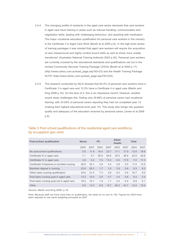- 3.4.4 The changing profile of residents in the aged care sector demands that care workers in aged care have training in areas such as manual handling, communication and negotiation skills; dealing with challenging behaviour; and assisting with medication. The major vocational education qualification for personal care workers in the industry is the Certificate 3 in Aged Care Work (Booth et al 2005 p.6). In the high level review of training packages it was mooted that aged care workers will require *the acquisition of new interpersonal and highly context bound skills as well as those more readily transferred'* (Australian National Training Authority 2003 p.30). Personal care workers are currently covered by the educational standards and qualifications set out in the revised Community Services Training Package CHC02 (Booth et al 2005 p.17) (http://www.cshisc.com.au/load\_page.asp?ID=23) and the Health Training Package HLT07 (http://www.cshisc.com.au/load\_page.asp?ID=234).
- 3.4.5 The research conducted by NILS showed that 64.4% of personal care workers have a Certificate 3 in aged care and 13.3% have a Certificate 4 in aged care (Martin and King 2008 p.16). On the face of it, this is an impressive record. However, another recent study challenges this, finding only 35.66% of personal carers had vocational training; with 33.55% of personal carers reporting they had not completed year 12 (making their highest educational level year 10). This study also brings into question quality and adequacy of the education received by personal carers (Jones et al 2006 p.8).

| <b>Post-school qualification</b>           | <b>Nurse</b> |      | <b>PC</b> |      | <b>Allied</b><br><b>Health</b> |      | <b>Total</b> |      |
|--------------------------------------------|--------------|------|-----------|------|--------------------------------|------|--------------|------|
|                                            | 2003         | 2007 | 2003      | 2007 | 2003                           | 2007 | 2003         | 2007 |
| No post-school qualifications              | 5.6          | 11.8 | 16.4      | 23.7 | 17.1                           | 179  | 12.8         | 19.8 |
| Certificate III in aged care               | 7.1          | 9.7  | 65.9      | 64.6 | 25.5                           | 36.9 | 42.9         | 46.6 |
| Certificate IV in aged care                | 4.9          | 5.2  | 7.9       | 13.3 | 9.3                            | 17.5 | 7.0          | 11.3 |
| Certificate IV/diploma in enrolled nursing | 26.6         | 35.1 | 2.9       | 3.4  | 2.9                            | 2.5  | 11.0         | 12.5 |
| Bachelor degree in nursing                 | 23.6         | 28.3 | 1.7       | 1.6  | 3.9                            | 0.6  | 9.3          | 9.3  |
| Other basic nursing qualification          | 34.6         | 21.4 | 7.3       | 3.8  | 8.3                            | 4.6  | 16.7         | 9.0  |
| Post basic nursing qual in aged care       | 13.2         | 10.0 | 2.8       | 0.7  | 3.4                            | 0.8  | 6.4          | 3.4  |
| Post basic nursing qual not in aged care   | 16.2         | 15.1 | 1.9       | 1.1  | 2.4                            | 0.2  | 6.8          | 5.1  |
| Other                                      | 9.0          | 12.3 | 9.8       | 13.7 | 49.2                           | 44.7 | 12.4         | 15.6 |

## Table 3: Post-school qualifications of the residential aged care workforce, by occupation (per cent)

Source: Martin and King 2008, p.16.

Note: Because staff can have more than on qualification, the totals do no sum to 100. Figures for 2003 have been adjusted to use same weighting principles as 2007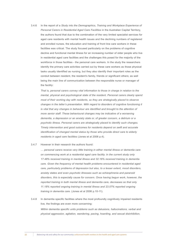3.4.6 In the report of a *Study into the Demographics, Training and Workplace Experience of Personal Carers in Residential Aged Care Facilities* in the Australian Capital Territory, the authors found that due to the combination of the very limited specialist services for aged care residents with mental health issues and the declining numbers of registered and enrolled nurses, the education and training of front line care workers in these facilities was critical. The study focused particularly on the problems of cognitive decline and functional mental illness for an increasing number of older people who live in residential aged care facilities and the challenges this posed for the majority of the workforce in those facilities - the personal care workers. In the study the researchers identify the primary care activities carried out by these care workers as those physical tasks usually identified as nursing, but they also identify their important roles as the conduit between resident, the resident's family, friends or significant others; as well being the main line of communication between the responsible nurse or manager of the facility:

*That is, personal carers convey vital information to those in charge in relation to the mental, physical and psychological state of the resident. Personal carers clearly spend most of their working day with residents, so they are strategically placed to observe changes in the latter's presentation. With regard to disorders of cognitive functioning it is vital that any changes in behaviour are identified and brought to the attention of more senior staff. These behavioural changes may be indicative of a worsening dementia, a depression or an anxiety state or, of greater concern, a delirium or a psychotic illness. Personal carers are strategically placed to identify such changes. Timely intervention and good outcomes for residents depend on swift and accurate identification of changed mental status by those who provide direct care to elderly residents in aged care facilities* (Jones et al 2006 p.4).

## 3.4.7 However in their research the authors found:

*… personal carers receive very little training in either mental illness or dementia care on commencing work at a residential aged care facility. In the current study only 17.48% received training in mental illness and 32.16% received training in dementia care. Given the frequency of mental health problems encountered in residential aged care, particularly problems of depression but also, to a lesser extent, mood disorders, anxiety states and even psychotic illnesses such as schizophrenia and paranoid disorders, this is especially cause for concern. Once having begun work, however, the reported training in both mental illness and dementia care, decreases so that only 11.18% reported ongoing training in mental illness and 23.07% reported ongoing training in dementia care.* (Jones et al 2006 p.10-11).

3.4.8 In dementia specific facilities where the most profoundly cognitively impaired residents live, the findings are even more concerning:

*Within dementia specific units problems such as delusions, hallucinations, verbal and physical aggression, agitation, wandering, pacing, hoarding, and sexual disinhibition,*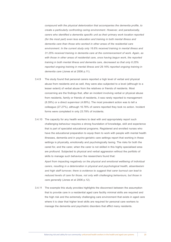*compound with the physical deterioration that accompanies the dementia profile, to create a particularly confronting caring environment. However, and paradoxically, carers who identified a dementia specific unit as their primary work location reported (for the most part) even less education and training in both mental illness and dementia care than those who worked in other areas of the residential care environment. In the current study only 16.6% received training in mental illness and 31.25% received training in dementia care at the commencement of work. Again, as with those in other areas of residential care, once having begun work, the reported training in both mental illness and dementia care, decreased so that only 6.25% reported ongoing training in mental illness and 29.16% reported ongoing training in dementia care* (Jones et al 2006 p.11).

- 3.4.9 The study found that personal carers reported a high level of verbal and physical abuse from residents and as well, they were also subjected to a level (although to a lesser extent) of verbal abuse from the relatives or friends of residents. Most concerning are the findings that, after an incident involving verbal or physical abuse from residents, family or friends of residents, it was rarely reported to management (8.39%) or a direct supervisor (4.89%). The most prevalent action was to tell a colleague (27.27%), although 16.78% of carers reported they took no action. Incident forms were completed in only 23.78% of incidents.
- 3.4.10 The capacity for any health workers to deal with and appropriately report such challenging behaviour requires a strong foundation of knowledge, skill and experience that is part of specialist educational programs. Registered and enrolled nurses who have the educational preparation to equip them to work with people with mental health illnesses, dementia and in psycho-geriatric care settings report that working in these settings is physically, emotionally and psychologically taxing. The risks for both the cared for, and the carer, when the carer is not skilled in this highly specialised area are profound. Subjected to physical and verbal aggression without the portfolio of skills to manage such behaviour the researchers found that:

*Apart from impacting negatively on the physical and emotional wellbeing of individual carers, resulting in a deterioration in physical and psychological health, absenteeism and high staff turnover, there is evidence to suggest that carer burnout can lead to reduced levels of care for those, not only with challenging behaviours, but those in care generally* (Jones et al 2006 p.12).

3.4.11 The example this study provides highlights the disconnect between the assumption that to provide care in a residential aged care facility minimal skills are required and the high risk and the extremely challenging care environment that exists in aged care where it is clear that higher level skills are required for personal care workers to manage the dementia and psychiatric disorders that afflict many residents.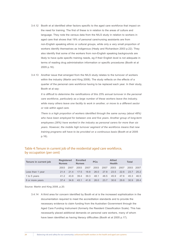- 3.4.12 Booth et al identified other factors specific to the aged care workforce that impact on the need for training. The first of these is in relation to the areas of culture and language. They note the census data from the NILS study in relation to workers in aged care that shows that 19% of personal care/nursing assistants are from non-English speaking ethnic or cultural groups, while only a very small proportion of workers identify themselves as Indigenous (Healy and Richardson 2003 p.22). They also identify that some of the workers from non-English speaking backgrounds are likely to have quite specific training needs, eg if their English level is not adequate in terms of reading drug administration information or specific procedures (Booth et al 2005 p.16).
- 3.4.13 Another issue that emerged from the NILS study relates to the turnover of workers within the industry (Martin and King 2008). The study reflects on the effects of a quarter of the personal care workforce having to be replaced each year. In their study, Booth et al say:

*It is difficult to determine the ramifications of this 25% annual turnover in the personal care workforce, particularly as a large number of these workers leave the industry, while many others leave one facility to work in another, or move to a different sector or role within aged care.* 

*There is a high proportion of workers identified through the same survey (about 48%) who have been employed for between one and five years. Another group of long-term employees (26%) have worked in the industry as personal carers for more than six years. However, the mobile high turnover segment of the workforce means that new training programs will have to be provided on a continuous basis* (Booth et al 2005 p.16).

| Tenure in current job | <b>Registered</b><br><b>Nurses</b> |      | <b>Enrolled</b><br><b>Nurses</b> |      | <b>PCs</b> |      | <b>Allied</b><br><b>Health</b> |      | <b>Total</b> |      |
|-----------------------|------------------------------------|------|----------------------------------|------|------------|------|--------------------------------|------|--------------|------|
|                       | 2003                               | 2007 | 2003                             | 2007 | 2003       | 2007 | 2003                           | 2007 | 2003         | 2007 |
| Less than 1 year      | 214                                | 214  | 17.5                             | 18.8 | 26.0       | 278  | 23.5                           | 226  | 23.7         | 25.2 |
| 1 to 5 years          | 412                                | 438  | 394                              | 393  | 48.1       | 48.5 | 45.9                           | 47.6 | 45.3         | 46.5 |
| 6 or more years       | 374                                | 34.8 | 43.1                             | 41.8 | 26.0       | 23.7 | 30.6                           | 29.8 | 30.9         | 284  |

## Table 4: Tenure in current job of the residential aged care workforce, by occupation (per cent)

Source: Martin and King 2008, p.20.

3.4.14 A third area for concern identified by Booth et al is the increased sophistication in the documentation required to meet the accreditation standards and to provide the necessary evidence to claim funding from the Australian Government through the Aged Care Funding Instrument (formerly the Resident Classification Scale). This has necessarily placed additional demands on personal care workers, many of whom have been identified as having literacy difficulties (Booth et al 2005 p.17).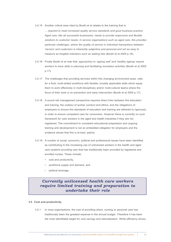3.4.15 Another critical area cited by Booth et al relates to the training that is:

*... required to meet increased quality service standards and good business practice. Aged care, like all successful businesses, needs to provide responsive and flexible solutions to customer needs. In service organisations such as aged care, this provides particular challenges, where the quality of service in individual transactions between 'servers' and customers is inherently subjective and personal and not as easy to measure as tangible indicators such as waiting lists* (Booth et al 2005 p.18).

- 3.4.16 Finally Booth et al note that: *approaches to 'ageing well' and 'healthy ageing' require workers to have skills in planning and facilitating recreation activities* (Booth et al 2005 p.17).
- 3.4.17 The challenges that providing services within this changing environment pose: calls for a fluid, multi-skilled workforce with flexible, broadly applicable skills which equip them to work effectively in multi-disciplinary and/or multi-cultural teams where the focus of their work is on prevention and early intervention (Booth et al 2005 p.17).
- 3.4.18 A sound risk management perspective requires direct links between this education and training; the code(s) of worker conduct and ethics; and the obligations of employers to ensure the standards of education and training are adhered to rigorously in order to ensure competent care for consumers. However there is currently no such framework for care workers in the aged and health industries if they are not registered. The commitment to consistent educational preparation and ongoing training and development is not an embedded obligation for employers and the evidence shows that this is at best, patchy.
- 3.4.19 A number of social, economic, political and professional issues have been identified as contributing to the increasing use of unlicensed workers in the health and aged care systems providing care that has traditionally been provided by registered and enrolled nurses. These include:
	- • cost and productivity,
	- workforce supply and demand, and
	- political leverage.

## *Currently unlicensed health care workers require limited training and preparation to undertake their role*

## **3.5 Cost and productivity**

3.5.1 In most organisations, the cost of providing direct, nursing or personal care has traditionally been the greatest expense in the annual budget. Therefore it has been the most identifiable target for cost savings and rationalisation. While efficiency drives,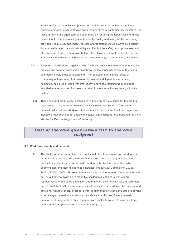work transformation initiatives, pushes for 'working smarter not harder', skill mix reviews, and other such strategies are a feature of many contemporary industries, the focus in health and aged care has been more on reducing the labour costs of direct care without the countervailing attention to the quality and safety of the care being provided. Productivity and improving care and treatment should always be a priority for any health, aged care and disability service, but the safety, appropriateness and effectiveness of care must always balance the efficiency of treatment and care. Each is a significant indicator of the value that the community places on safe, ethical care.

- 3.5.2 Supporting a skilled and organised workforce with consistent standards of education, practice and conduct comes at a cost, however the concomitant cost of the risk to community safety must be factored in. The reputation and financial costs of community outrage when frail, vulnerable, injured and ill people are harmed, neglected, exploited or dealt with improperly; and those resulting from damages awarded in a legal action for breach of duty of care; can ultimately be significantly higher.
- 3.5.3 These cost and productivity initiatives have been an obvious cause for the gradual replacement of higher cost professionals with lower cost workers. The health professional workforce shortages that are manifest across the health and aged care industries have provided an additional catalyst and excuse for this transition, as it can also be justified on the grounds of necessity.

## *Cost of the care giver versus risk to the care recipient*

#### **3.6 Workforce supply and demand**

3.6.1 The challenge of ensuring there is a sustainable health and aged care workforce in the future is a national and international concern. There is strong evidence the population's need for a sizeable health workforce is likely to rise as the 'baby boomers' age and their health needs increase (Productivity Commission 2005a; 2005b; 2005c; 2005d). However the evidence is that the required health workforce is not, or will not, be available to meet this challenge. Health care workers are representative of the same population and many are also heading toward retirement age. Even if the traditional retirement milestones shift, the burden of the physical and emotional nature of much direct care work is such that few staff can sustain it beyond a certain age. Indeed, the workforce data shows that this workforce is already primarily part-time, particularly in the aged care sector because of its physical and mental demands (Richardson and Martin 2004 p.20).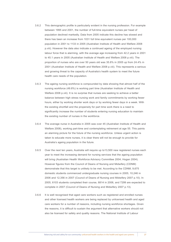- 3.6.2 This demographic profile is particularly evident in the nursing profession. For example between 1995 and 2001, the number of full-time equivalent nurses per head of population declined markedly. Data from 2005 indicate this decline has slowed and there has been an increase from 1031 full time equivalent nurses per 100,000 population in 2001 to 1133 in 2005 (Australian Institute of Health and Welfare 2008 p.viii). However the data also indicate a continued ageing of the employed nursing labour force that is alarming, with the average age increasing from 42.2 years in 2001 to 45.1 years in 2005 (Australian Institute of Health and Welfare 2008 p.viii). The proportion of nurses who are over 50 years old was 35.8% in 2005 up from 24.4% in 2001 (Australian Institute of Health and Welfare 2008 p.viii). This represents a serious and growing threat to the capacity of Australia's health system to meet the future health care needs of the population.
- 3.6.3 The ageing nursing workforce is compounded by data showing that almost half of the nursing workforce (49.8%) is working part time (Australian Institute of Health and Welfare 2008 p.viii). It is no surprise that nurses are seeking to achieve a better balance between high stress nursing work and family commitments by working fewer hours, either by working shorter work days or by working fewer days in a week. With the existing shortfall and the propensity for part time work there is a need to significantly increase the number of students entering nursing education to maintain the existing number of nurses in the workforce.
- 3.6.4 The average nurse in Australia in 2005 was over 45 (Australian Institute of Health and Welfare 2008), working part-time and contemplating retirement at age 55. This paints an alarming picture for the future of the nursing workforce. Unless urgent action is taken to educate more nurses, it is clear there will not be enough to provide for Australia's ageing population in the future.
- 3.6.5 Over the next ten years, Australia will require up to13,500 new registered nurses each year to meet the increasing demand for nursing services that the ageing population will bring (Australian Health Workforce Advisory Committee 2004; Hogan 2004). However figures from the Council of Deans of Nursing and Midwifery (CDNM) demonstrate that this target is unlikely to be met. According to the CDNM, 9,675 domestic students commenced undergraduate nursing courses in 2005; 10,246 in 2006 and 12,356 in 2007 (Council of Deans of Nursing and Midwifery 2007 p.10). In 2005, 6103 students completed their course, 6814 in 2006, and 7299 are expected to complete in 2007 (Council of Deans of Nursing and Midwifery 2007 p.13).
- 3.6.6 It is well recognised that aged care workers such as registered and enrolled nurses and other licensed health workers are being replaced by unlicensed health and aged care workers for a number of reasons, including nursing workforce shortages. Given the reasons, it is difficult to sustain the argument that alternative workers should not also be licensed for safety and quality reasons. The National Institute of Labour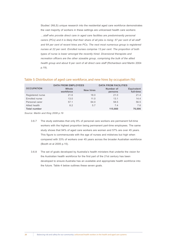Studies' (NILS) unique research into the residential aged care workforce demonstrates the vast majority of workers in these settings are unlicensed health care workers: *…staff who provide direct care in aged care facilities are predominantly personal carers (PCs) and it is likely that their share of all jobs is rising: 57 per cent of all staff and 64 per cent of recent hires are PCs. The next most numerous group is registered nurses at 22 per cent. Enrolled nurses comprise 13 per cent. The proportion of both types of nurse is lower amongst the recently hired. Diversional therapists and recreation officers are the other sizeable group, comprising the bulk of the allied health group and about 8 per cent of all direct care staff (Richardson and Martin 2004* p.19).

## Table 5: Distribution of aged care workforce, and new hires by occupation (%)

|                     | <b>DATA FROM EMPLOYEES</b> |                  | <b>DATA FROM FACILITIES</b> |                                |
|---------------------|----------------------------|------------------|-----------------------------|--------------------------------|
| <b>OCCUPATION</b>   | Whole<br>workforce         | <b>New hires</b> | Number of<br>persons        | <b>Equivalent</b><br>full-time |
| Registered nurse    | 21.6                       | 18.0             | 21.0                        | 21.4                           |
| Enrolled nurse      | 13.0                       | 11.0             | 13.1                        | 14.4                           |
| Personal carer      | 57.1                       | 64.0             | 58.5                        | 56.5                           |
| Allied health       | 8.2                        | 5.7              | 7.4                         | 7.6                            |
| <b>Total number</b> |                            |                  | 115,660                     | 76,006                         |

*Source: Martin and King 2008 p.19*

- 3.6.7 The study estimates that only 8% of personal care workers are permanent full-time workers with the highest proportion being permanent part-time employees. The same study shows that 94% of aged care workers are women and 57% are over 45 years. This figure is commensurate with the age of nurses and midwives but high when compared with 33% of workers over 45 years across the broader Australian workforce (Booth et al 2005 p.15).
- 3.6.8 The set of goals developed by Australia's health ministers that underlie the vision for the Australian health workforce for the first part of the 21st century has been developed to ensure Australia has an available and appropriate health workforce into the future. Table 4 below outlines these seven goals.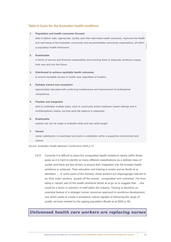## Table 6: Goals for the Australian health workforce

#### **1. Population and health consumer focused**

able to deliver safe, appropriate, quality care that maximises health outcomes, improves the health and well being of the Australian community and accommodates community expectations, all within a population health framework;

## **2. Sustainable**

in terms of service and financial sustainability and ensuring there is adequate workforce supply, both now and into the future;

#### **3. Distributed to achieve equitable health outcomes**

to ensure equitable access to health care regardless of location;

#### **4. Suitably trained and competent**

appropriately educated with continuing maintenance and improvement of professional competence;

## **5. Flexible and integrated**

able to undertake multiple tasks, work in community and/or institution based settings and in multidisciplinary teams, but that work-life balance is respected;

## **6. Employable**

optimal use can be made of available skills and new skills taught;

#### **7. Valued**

career satisfaction is maximised and work is undertaken within a supportive environment and culture.

*Source: Australian Health Ministers' Conference 2004 p.13*

3.6.9 Currently it is difficult to place the unregulated health workforce clearly within these goals as it is hard to identify so many different classifications as a defined class of worker and there are few drivers to ensure their integration into the broader health workforce is achieved. Their education and training is erratic and as Booth et al identified: *… in some parts of the industry, these workers are disparagingly referred to as 'blue collar' workers, 'people off the streets', 'unregulated' and 'untrained'*. Far from being a 'valued' part of the health workforce Booth et al go on to suggest that: *…this could be a factor in retention of staff within the industry. Training is therefore an essential feature of a strategic human resources approach to workforce development, one which seeks to create a workplace culture capable of delivering the range of quality services needed by the ageing population* (Booth et al 2005 p.18).

## *Unlicensed health care workers are replacing nurses*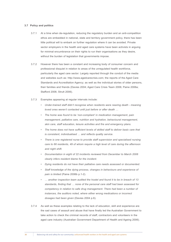## **3.7 Policy and politics**

- 3.7.1 At a time when de-regulation, reducing the regulatory burden and an anti-competition ethos are embedded in national, state and territory government policy, there has been little political will to embark on further regulation where it can be avoided. Private sector employers in the health and aged care systems have been activists in arguing for minimal encumbrance on their rights to run their organisations as they desire, without the burden of legislation that governments impose.
- 3.7.2 However there has been a constant and increasing body of consumer concern and professional disquiet in relation to areas of the unregulated health workforce, particularly the aged care sector. Largely reported through the conduit of the media and websites such as: http://www.agedcarecrisis.com; the reports of the Aged Care Standards and Accreditation Agency; as well as the individual stories of older persons, their families and friends (Davies 2004; Aged Care Crisis Team 2006; Paine 2006a; Stafford 2006; Strutt 2006).
- 3.7.3 Examples appearing at regular intervals include:
	- *• Under-trained staff didn't recognise when residents were nearing death meaning loved ones weren't contacted until just before or after death …*
	- *The home was found to be 'non-compliant' in medication management, pain management, palliative care, nutrition and hydration, behavioural management, skin care, staff education, leisure activities and fire and emergency plans.*
	- The home does not have sufficient levels of skilled staff to deliver basic care that *is consistent, individualised … and reflects quality service.*
	- *• There is one registered nurse to provide staff supervision and specialised nursing care to 66 residents, 49 of whom require a high level of care during the afternoon and night shift.*
	- Documentation in eight of 22 incidents reviewed from December to March 2006 *clearly infers resident blame for the incident.*
	- Dying residents do not have their palliative care needs assessed or documented.
	- Staff knowledge of the dying process, changes in behaviours and experience of *pain is limited* (Paine 2006b p.1-2).
	- *• … another inspection team audited the hostel and found it to be in breach of 13 standards, finding that … none of the personal care staff had been assessed for competency in relation to safe drug management. There had been a number of instances, the auditors noted, where either wrong medications or incorrect dosages had been given* (Davies 2004 p.6).
- 3.7.4 As well as these examples relating to the lack of education, skill and experience are the sad cases of assault and abuse that have finally led the Australian Government to take action to check the criminal records of staff, contractors and volunteers in the aged care industry (Australian Government Department of Health and Ageing 2006).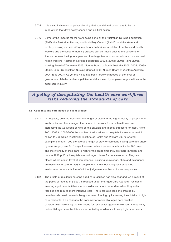- 3.7.5 It is a sad indictment of policy planning that scandal and crisis have to be the imperatives that drive policy change and political action.
- 3.7.6 Some of the impetus for the work being done by the Australian Nursing Federation (ANF), the Australian Nursing and Midwifery Council (ANMC) and the state and territory nursing and midwifery regulatory authorities in relation to unlicensed health workers and the scope of nursing practice can be traced back to the concerns of licensed nurses having to supervise often large teams of under educated, unlicensed health workers (Australian Nursing Federation 2007a, 2007b, 2005; Paine 2006a; Nursing Board of Tasmania 2006; Nurses Board of South Australia 2006, 2005, 2003a, 2003b, 2002; Queensland Nursing Council 2005; Nurses Board of Western Australia 2004; Ellis 2003). As yet this voice has been largely unheeded at the level of government, labelled anti-competitive, and dismissed by employer organisations in the aged care industry.

## *A policy of deregulating the health care workforce risks reducing the standards of care*

#### **3.8 Case mix and care needs of client groups**

- 3.8.1 In hospitals, both the decline in the length of stay and the higher acuity of people who are hospitalised has changed the nature of the work for most health workers, increasing the workloads as well as the physical and mental stressors for most. From 2001-2002 to 2005-2006 the number of admissions to hospitals increased from 6.4 million to 7.3 million (Australian Institute of Health and Welfare 2007). Another example is that in 1990 the average length of stay for someone having coronary artery bypass surgery was 8-10 days. However today a person is in hospital for 3-5 days and the intensity of their care is high for the entire time they are there (Krapohl and Larson 1996 p.101). Hospitals are no longer places for convalescence. They are places where a high level of competence, including knowledge, skills and experience are essential to care for very ill people in a highly technologically enhanced environment where a failure of clinical judgement can have dire consequences.
- 3.8.2 The profile of residents entering aged care facilities has also changed. As a result of the policy of 'ageing in place', introduced under the Aged Care Act 1997, residents entering aged care facilities are now older and more dependent when they enter facilities and require more intensive care. There are also tensions created by providers who seek to maximize government funding by increasing their intake of high care residents. This changes the casemix for residential aged care facilities considerably, increasing the workloads for residential aged care workers. Increasingly residential aged care facilities are occupied by residents with very high care needs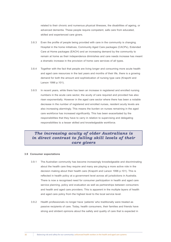related to their chronic and numerous physical illnesses, the disabilities of ageing, or advanced dementia. These people require competent, safe care from educated, skilled and experienced care givers.

- 3.8.3 Even the profile of people being provided with care in the community is changing. Hospital in the home initiatives, Community Aged Care packages (CACPs), Extended Care at Home packages (EACH) and an increasing demand by the community to remain at home as their independence diminishes and care needs increase has meant a dramatic increase in the provision of home care services of all types.
- 3.8.4 Together with the fact that people are living longer and consuming more acute health and aged care resources in the last years and months of their life, there is a growing demand for both the amount and sophistication of nursing type care (Krapohl and Larson 1996 p.101).
- 3.8.5 In recent years, while there has been an increase in registered and enrolled nursing numbers in the acute care sector, the acuity of care required and provided has also risen exponentially. However in the aged care sector where there has been a notable decrease in the number of registered and enrolled nurses, resident acuity levels are also increasing alarmingly. This means the burden on nurses remaining in the aged care workforce has increased significantly. This has been exacerbated by the responsibilities that they have to carry in relation to supervising and delegating responsibilities to a lesser skilled and knowledgeable workforce.

## *The increasing acuity of older Australians is in direct contrast to falling skill levels of their care givers*

#### **3.9 Consumer expectations**

- 3.9.1 The Australian community has become increasingly knowledgeable and discriminating about the health care they require and many are playing a more active role in the decision making about their health care (Krapohl and Larson 1996 p.101). This is reflected in health policy at a government level across all jurisdictions in Australia. There is now a recognised need for consumer participation in health and aged care service planning, policy and evaluation as well as partnerships between consumers and health and aged care providers. This is apparent in the multiple layers of health and aged care policy from the highest level to the local service level.
- 3.9.2 Health professionals no longer have 'patients' who traditionally were treated as passive recipients of care. Today, health consumers, their families and friends have strong and strident opinions about the safety and quality of care that is expected in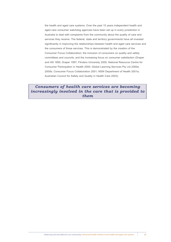the health and aged care systems. Over the past 15 years independent health and aged care consumer watchdog agencies have been set up in every jurisdiction in Australia to deal with complaints from the community about the quality of care and services they receive. The federal, state and territory governments have all invested significantly in improving the relationships between health and aged care services and the consumers of those services. This is demonstrated by the creation of the Consumer Focus Collaboration; the inclusion of consumers on quality and safety committees and councils; and the increasing focus on consumer satisfaction (Draper and Hill 1995; Draper 1997; Flinders University 2000; National Resource Centre for Consumer Participation in Health 2000; Global Learning Services Pty Ltd 2000a; 2000b; Consumer Focus Collaboration 2001; NSW Department of Health 2001a; Australian Council for Safety and Quality in Health Care 2003).

## *Consumers of health care services are becoming increasingly involved in the care that is provided to them*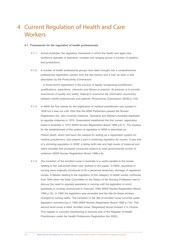# Current Regulation of Health and Care 4**Workers**

## **4.1 Frameworks for the regulation of health professionals**

- 4.1.1 Across Australia, the regulatory framework in which the health and aged care workforce operates is extensive, complex and ranging across a number of systems and jurisdictions.
- 4.1.2 A number of health professional groups have been brought into a comprehensive professional registration system over the last century and a half, as seen in this description by the Productivity Commission:

*...in broad terms registration is the process of legally recognising practitioners' qualifications, experience, character and fitness to practice. Its purpose is to provide assurances of quality and safety, helping to overcome the information asymmetry between health professionals and patients'* (Productivity Commission 2005d p.134).

- 4.1.3 In NSW the first statute for the registration of medical practitioners was passed in 1838 but it was not until 1924 that the NSW Parliament passed the Nurses' Registration Act, also covering midwives. Tasmania and Western Australia legislated to regulate midwives in 1910. Queensland established the first nurses' registration board in Australia in 1912 (NSW Nurses Registration Board 1998 p.6-7). The impetus for the establishment of the system of regulation in NSW is described as: *Patient death, which had been the catalyst for setting up a registration system for medical practitioners, also played a part in achieving regulation for nurses. It was fear of a shrinking population in NSW, a falling birth-rate and high levels of maternal and infant mortality that prompted concerned citizens to seek governmental control of midwives* (NSW Nurses Registration Board 1998 p.8).
- 4.1.4 The evolution of the enrolled nurse in Australia is a useful parallel to the issues relating to the unlicensed direct care workers in this paper. In NSW, assistants in nursing were originally introduced to fill a perceived temporary shortage of registered nurses. A debate relating to the regulation of this category of health worker continued from 1944 when the Kelly Committee on the Status of the Nursing Profession met to discuss the need to regulate assistants in nursing until the legislation to enrol assistants in nursing commenced in February 1958 (NSW Nurses Registration Board 1998 p.72). In 1960 the legislation was amended and the title for these workers changed to nursing aides. The transition to the title of enrolled nurse occurred under legislation commencing in 1958 (NSW Nurses Registration Board 1998 p.114). This second level nurse is titled 'enrolled nurse' (Registered Nurse Division 2 in Victoria. This register is currently transitioning to become part of the Register of Health Practitioners under the Health Professions Registration Act 2005).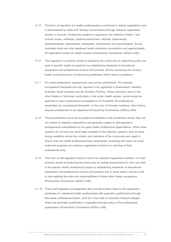- 4.1.5 This form of regulation for health professionals is enshrined in statute (legislation) and is administered by State and Territory Governments through statutory registration boards or councils. Professions subject to registration are outlined in Table 1 and include nurses, midwives, medical practitioners, dentists, pharmacists, physiotherapists, optometrists, osteopaths, chiropractors and psychologists. Across Australian there are nine registered health profession occupations and approximately 90 registration bodies for health workers (Productivity Commission 2005d p.358).
- 4.1.6 This regulation is primarily aimed at protecting the community by determining who can work in specific health occupations; by establishing standards of educational preparation and professional conduct and practice; and by monitoring the conduct, health and performance of individual practitioners within these occupations.
- 4.1.7 For some professions, requirements vary across jurisdictions. For example occupational therapists are only required to be registered in Queensland, Western Australia, South Australia and the Northern Territory. Those wishing to work in the other States or Territories, particularly in the public health system, would simply be expected to have qualifications acceptable to OT Australia, the professional association for occupational therapists. In the case of Chinese medicine, only Victoria requires practitioners to be registered (Productivity Commission 2005d p.358).
- 4.1.8 Those professions (such as occupational therapists in the jurisdictions where they are not subject to statutory registration) are generally subject to self-regulatory arrangements administered by the peak health professional organisations. While these systems do not have the same legal mandate of the statutory systems, they do have strong credibility across the industry and members of the community are urged to ensure that any health professional they contemplate consulting who does not come under the auspices of a statutory registration scheme is a member of their professional body.
- 4.1.9 This form of self regulation tends to mirror the statutory registration systems. It is also primarily aimed at protecting the community by setting requirements for who can work in the specific health professional groups by establishing standards of educational preparation and professional conduct and practice and to some extent, having a role in over sighting the roles and responsibilities of those within these occupations (Productivity Commission 2005d p.358).
- 4.1.10 These self-regulatory arrangements also provide another layer to the registration processes for registered health professionals with speciality qualifications through their peak professional bodies, such as in the case of specialist medical colleges, where the specialist qualification is regulated through policy of the professional organisation (Productivity Commission 2005d p.358).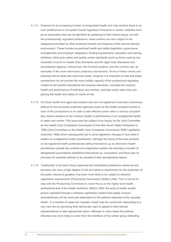- 4.1.11 However for an increasing number of unregulated health and care workers there is no such professional or occupation based regulatory framework or worker collective such as an association that can be identified as pertaining to their distinct group. As with the professionally regulated professions, these workers are also subject to the safeguards provided by other protective checks and balances of the service delivery environment. These include occupational health and safety legislation; governance arrangements and employer obligations; funding requirements; education and training initiatives; third party safety and quality review standards (such as those used by the Australian Council on Health Care Standards and the Aged Care Standards and Accreditation Agency); criminal law; the Coronial systems; and the common law, as examples of the more well known protective mechanisms. Some of these checks and balances will be dealt with more fully below. However it is important to note that these mechanisms do not provide the more holistic capacity of the professional regulatory models to set specific educational and practice standards, oversight the conduct, health and performance of individual care workers, and take action when they are placing the health and safety of clients at risk.
- 4.1.12 For those health and aged care workers who are not registered it has been notoriously difficult for the consumer protection agencies (such as the health complaint bodies in each of the jurisdictions) to be able to take effective action when a serious complaint they receive pertains to the conduct, health or performance of an unregistered health or aged care worker. This issue was the subject of an inquiry by the Joint Committee on the Health Care Complaints Commission of the New South Wales Parliament in 1998 (Joint Committee on the Health Care Complaints Commission NSW Legislative Assembly 1998) which subsequently led to some legislative changes in that state in relation to unregistered health practitioners, although the focus of that was primarily on de-registered health professionals setting themselves up as alternative health practitioners outside the confines of a registration system (for example a number of deregistered psychiatrists established themselves as 'counsellors' and there was no provision for potential patients to be advised of their de-registered status).
- 4.1.13 Traditionally it has been those organised and identifiable professions where service provision can carry a high degree of risk and where a requirement for the protection of the public interest is greatest, that were more likely to be subject to statutory registration requirements (Productivity Commission 2005d p.358). This is not out of step with the Productivity Commission's recent focus on the higher level health professional end of the health workforce. Before 1992, the array of health worker groups regulated through a statutory registration system had largely evolved serendipitously, for the most part dependent on the political response to the 'squeaky wheel'. In a number of cases the 'squeaky wheel' was the community responding to a very real risk by exercising their democratic right to appeal to their elected representatives to take appropriate action. Although in many cases the political influence was more likely to come from the members of the worker group defending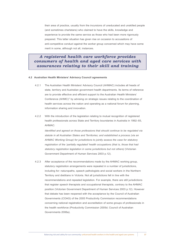their area of practice, usually from the incursions of uneducated and unskilled people (and sometimes charlatans) who claimed to have the skills, knowledge and experience to provide the same service as those who had been more rigorously prepared. This latter situation has given rise on occasion to accusations of anti-competitive conduct against the worker group concerned which may have some merit in some, although not all, instances.

## *A registered health care workforce provides consumers of health and aged care services with assurances relating to their skill and training*

#### **4.2 Australian Health Ministers' Advisory Council agreements**

- 4.2.1 The Australian Health Ministers' Advisory Council (AHMAC) includes all heads of state, territory and Australian government health departments. Its terms of reference are to provide effective and efficient support to the Australian Health Ministers' Conference (AHMC)<sup>1</sup> by advising on strategic issues relating to the coordination of health services across the nation and operating as a national forum for planning, information sharing and innovation.
- 4.2.2 With the introduction of the legislation relating to mutual recognition of registered health professionals across State and Territory boundaries in Australia in 1992–93, AHMAC:

*Identified and agreed on those professions that should continue to be regulated via statute in all Australian States and Territories; and established a process (via an AHMAC Working Group) for jurisdictions to jointly assess the case for statutory registration of the 'partially regulated' health occupations (that is, those that had statutory registration legislation in some jurisdictions but not others)* (Victorian Government Department of Human Services 2003 p.12).

4.2.3 After acceptance of the recommendations made by the AHMAC working group, statutory registration arrangements were repealed in a number of jurisdictions, including for: naturopaths, speech pathologists and social workers in the Northern Territory and dietitians in Victoria. Not all jurisdictions fell in line with the recommendations and repealed legislation. For example, there are still jurisdictions that register speech therapists and occupational therapists, contrary to the AHMAC position (Victorian Government Department of Human Services 2003 p.12). However that debate has been reopened with the acceptance by the Council of Australian Governments (COAG) of the 2005 Productivity Commission recommendations concerning national registration and accreditation of some groups of professionals in the health workforce (Productivity Commission 2005d; Council of Australian Governments 2006a).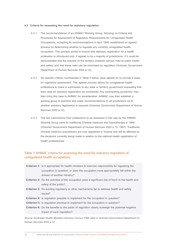#### **4.3 Criteria for assessing the need for statutory regulation**

- 4.3.1 The recommendations of an AHMAC Working Group: Advising on Criteria and Processes for Assessment of Regulatory Requirements for Unregulated Health Occupations, accepting its recommendations in April 1995, established an agreed process for determining whether to regulate any currently unregulated health occupation. This process aimed to ensure that statutory registration for a health profession is introduced only: if agreed to by a majority of jurisdictions; if it could be demonstrated that the practice of the workers presents serious risks to public health and safety; and that these risks can be minimised by regulation (Victorian Government Department of Human Services 2003 p.12).
- 4.3.2 Six specific criteria, summarised in Table 5 below, were agreed on to provide a basis for regulatory assessment. This agreed process allows for unregistered health professions to make a submission to any state or territory government requesting that their case for statutory registration be considered. Any participating jurisdiction may then bring this case to AHMAC for consideration. AHMAC may then establish a working group to examine and make recommendations to all jurisdictions as to whether statutory registration is required (Victorian Government Department of Human Services 2003 p.12).
- 4.3.3 The last submissions from professions to be assessed in this way by the AHMAC Working Group were for traditional Chinese medicine and hypnotherapy in 1996 (Victorian Government Department of Human Services 2003 p.12; 1997). Traditional Chinese medicine practitioners are now registered in Victoria and will be affected by the decisions currently being made in relation to the national health registration of health professionals.

## Table 7: AHMAC criteria for assessing the need for statutory regulation of unregulated health occupations

| <b>Criterion 1:</b> Is it appropriate for health ministers to exercise responsibility for regulating the  |
|-----------------------------------------------------------------------------------------------------------|
| occupation in question, or does the occupation more appropriately fall within the                         |
| domain of another ministry?                                                                               |
| <b>Criterion 2:</b> Do the activities of the occupation pose a significant risk of harm to the health and |
| safety of the public?                                                                                     |
| <b>Criterion 3:</b> Do existing regulatory or other mechanisms fail to address health and safety          |
| issues?                                                                                                   |
| <b>Criterion 4:</b> Is regulation possible to implement for the occupation in question?                   |
| <b>Criterion 5:</b> Is regulation practical to implement for the occupation in question?                  |
| <b>Criterion 6:</b> Do the benefits to the public of regulation clearly outweigh the potential negative   |
| impact of such regulation?                                                                                |

*Source: Australian Health Ministers Advisory Council 1995 cited in Victorian Government Department of Human Services 2003 p.12*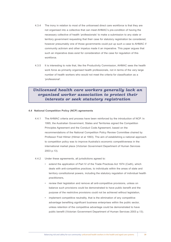- 4.3.4 The irony in relation to most of the unlicensed direct care workforce is that they are not organised into a collective that can meet AHMAC's pre-condition of having the necessary collective of health 'professionals' to make a submission to any state or territory government requesting that their case for statutory registration be considered; however presumably one of those governments could put up such a case to AHMAC if community activism and other impetus made it an imperative. This paper argues that such an imperative does exist for consideration of the case for regulation of this workforce.
- 4.3.5 It is interesting to note that, like the Productivity Commission, AHMAC sees the health work force as primarily organised health professionals, not in terms of the very large number of health workers who would not meet the criteria for classification as a 'professional'.

## *Unlicensed health care workers generally lack an organised worker association to protect their interests or seek statutory registration*

## **4.4 National Competition Policy (NCP) agreements**

- 4.4.1 The AHMAC criteria and process have been reinforced by the introduction of NCP. In 1995, the Australian Government, States and Territories signed the Competition Principles Agreement and the Conduct Code Agreement, based on the recommendations of the National Competition Policy Review Committee chaired by Professor Fred Hilmer (Hilmer et al 1993). The aim of establishing a national approach to competition policy was to improve Australia's economic competitiveness in the international market place (Victorian Government Department of Human Services 2003 p.13).
- 4.4.2 Under these agreements, all jurisdictions agreed to:
	- • extend the application of Part IV of the Trade Practices Act 1974 (Cwth), which deals with anti-competitive practices, to individuals within the areas of state and territory constitutional powers, including the statutory regulation of individual health practitioners,
	- review their legislation and remove all anti-competitive provisions, unless on balance such provisions could be demonstrated to have public benefit and the purpose of the restrictive provisions could not be achieved without legislation,
	- implement competitive neutrality, that is the elimination of any competitive advantage benefiting significant business enterprises within the public sector, unless retention of the competitive advantage could be demonstrated to have public benefit (Victorian Government Department of Human Services 2003 p.13).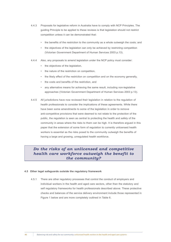- 4.4.3 Proposals for legislative reform in Australia have to comply with NCP Principles. The guiding Principle to be applied to these reviews is that legislation should not restrict competition unless it can be demonstrated that:
	- the benefits of the restriction to the community as a whole outweigh the costs; and
	- the objectives of the legislation can only be achieved by restricting competition (Victorian Government Department of Human Services 2003 p.13).
- 4.4.4 Also, any proposals to amend legislation under the NCP policy must consider:
	- • the objectives of the legislation,
	- • the nature of the restriction on competition,
	- the likely effect of the restriction on competition and on the economy generally,
	- the costs and benefits of the restriction, and
	- any alternative means for achieving the same result, including non-legislative approaches (Victorian Government Department of Human Services 2003 p.13).
- 4.4.5 All jurisdictions have now reviewed their legislation in relation to the regulation of health professionals to consider the implications of these agreements. While there have been some amendments to some of the legislation in order to remove anti-competitive provisions that were deemed to not relate to the protection of the public, the regulation is seen as central to protecting the health and safety of the community in areas where the risks to them can be high. It is therefore argued in this paper that the extension of some form of regulation to currently unlicensed health workers is essential as the risks posed to the community outweigh the benefits of having a large and growing, unregulated health workforce.

## *Do the risks of an unlicensed and competitive health care workforce outweigh the benefit to the community?*

## **4.5 Other legal safeguards outside the regulatory framework**

4.5.1 There are other regulatory processes that control the conduct of employers and individual workers in the health and aged care sectors, other than the statutory and self regulatory frameworks for health professionals described above. These protective checks and balances of the service delivery environment include those represented in Figure 1 below and are more completely outlined in Table 6.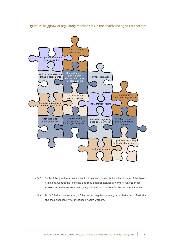

Figure 1: The jigsaw of regulatory mechanisms in the health and aged care sectors

- 4.5.2 Each of the providers has a specific focus and powers but a critical piece of the jigsaw is missing without the licensing and regulation of individual workers. Unless these workers in health are regulated, a significant gap in safety for the community exists.
- 4.5.3 Table 6 below is a summary of the current regulatory safeguards that exist in Australia and their applicability to unlicensed health workers.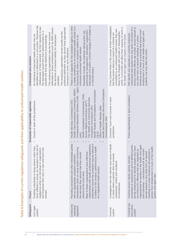|    | Unlicensed care workers          | identified as a defendant in a civil action. However the<br>shallowness of their pockets' (ie their capacity to pay<br>preferred defendant as they should have appropriate<br>defendant in those jurisdictions such as NSW where<br>the damages) would limit their attractiveness to a<br>The employing organisation would usually be the<br>The employing organisation may be the nominal<br>An individual unlicensed health worker may be<br>the doctrine of vicarious liability for employees<br>plaintiff and limit the likelihood of proceedings.<br>insurance to cover such situations.<br>operates. | dismissal); civil action; criminal charges (if it relates to<br>There is no capacity for the complaint agency to refer<br>a matter pertaining to an individual health worker to a<br>performance management, education, suspension,<br>Remedies include: the employer taking action (eg<br>licensing body when a complaint relates to an<br>individual unlicensed health worker.<br>a criminal issue).                                                                     | If the Coroner finds in the course of their investigation<br>which, if convicted will affect their capacity to work in<br>committed by an unlicensed health worker they are<br>ikely to be charged with murder or manslaughter<br>that the person died as a result of a criminal act<br>the health and aged care industry in the future. | serious criminal offence eg murder, sexual assault or<br>unlicensed care worker who has been convicted of a<br>sentence and is likely to preclude that person from<br>employment in much of the health and aged care<br>Will identify any potential or currently employed<br>any other form of assault resulting in a prison<br>systems, but only after the event.                                                                                                          |
|----|----------------------------------|------------------------------------------------------------------------------------------------------------------------------------------------------------------------------------------------------------------------------------------------------------------------------------------------------------------------------------------------------------------------------------------------------------------------------------------------------------------------------------------------------------------------------------------------------------------------------------------------------------|----------------------------------------------------------------------------------------------------------------------------------------------------------------------------------------------------------------------------------------------------------------------------------------------------------------------------------------------------------------------------------------------------------------------------------------------------------------------------|------------------------------------------------------------------------------------------------------------------------------------------------------------------------------------------------------------------------------------------------------------------------------------------------------------------------------------------|-----------------------------------------------------------------------------------------------------------------------------------------------------------------------------------------------------------------------------------------------------------------------------------------------------------------------------------------------------------------------------------------------------------------------------------------------------------------------------|
|    | Examples of responsible agencies | Courts in each of the jurisdictions.                                                                                                                                                                                                                                                                                                                                                                                                                                                                                                                                                                       | Complaints Resolution Scheme (Cwth - aged<br>Health Care Complaints Commission (NSW)<br>Health and Community Services Complaints<br>Health Quality and Complaints Commission<br>Health Complaints Commissioner (TAS)<br>The Health and Community Services<br>Health Services Commission (VIC)<br>Human Rights Commission (ACT)<br>Complaints Commission (NT)<br>Office of Health Review (WA)<br>Commissioner (SA)<br>(QLD)<br>care)                                        | Coroners' Court and Coroner in each<br>jurisdiction.                                                                                                                                                                                                                                                                                     | Police departments in each jurisdiction                                                                                                                                                                                                                                                                                                                                                                                                                                     |
|    | Focus                            | have suffered a wrong, for example in the tort of<br>Enabling individuals to bring actions when they<br>has breached their duty or care and harm has<br>negligence when an individual or organisation<br>ensued.                                                                                                                                                                                                                                                                                                                                                                                           | Providing consumers and other interested parties<br>authorities should the complaint require referral if<br>relationships with health professional registration<br>it relates to the conduct, performance or health<br>mechanisms when an issue arises concerning<br>Most of these organisations have effective<br>the services they receive that they cannot<br>with an appropriate complaint resolution<br>of a registered health worker.<br>resolve at the local level. | of death<br>Investigation into the manner and cause<br>in cases where a person dies in unusua<br>unexpected, violent and unnatural<br>circumstances.                                                                                                                                                                                     | conducted on employment and at defined points<br>inappropriate for workers in the health and aged<br>during employment to identify people who have<br>health<br>care industries - convictions such as murder,<br>convictions for offences that are regarded as<br>resulting in a prison sentence will preclude a<br>sexual assault or any other form of assault<br>person from employment in much of the<br>Criminal record checks (police checks)<br>system and aged care. |
|    | Safeguard                        | Civil legal<br>system                                                                                                                                                                                                                                                                                                                                                                                                                                                                                                                                                                                      | Community<br>'watchdog'<br>legislation                                                                                                                                                                                                                                                                                                                                                                                                                                     | Coronial<br>system                                                                                                                                                                                                                                                                                                                       | Criminal law<br>and justice<br>system                                                                                                                                                                                                                                                                                                                                                                                                                                       |
| 42 |                                  |                                                                                                                                                                                                                                                                                                                                                                                                                                                                                                                                                                                                            | Balancing risk and safety for our community: unlicensed health workers in the health and aged care systems                                                                                                                                                                                                                                                                                                                                                                 |                                                                                                                                                                                                                                                                                                                                          |                                                                                                                                                                                                                                                                                                                                                                                                                                                                             |

Table 8: Examples of current regulatory safeguards and their applicability to unlicensed health workers Table 8: Examples of current regulatory safeguards and their applicability to unlicensed health workers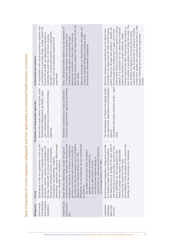| Unlicensed care workers          | An organisation with robust governance systems and<br>a commitment to providing a safe, quality service will<br>education; conduct themselves in an appropriate<br>ensure that all staff: are adequately prepared to<br>undertake the work they do and have ongoing<br>manner; and are adequately supported and<br>supervised.                                                                                         | appropriate training, support and supervision to do the<br>Many unlicensed health workers are not members of<br>With the introduction of 'WorkChoices' the safety net<br>appropriate conditions in their place of work eg<br>an industrial organisation that can protect their<br>of strong industrial safeguards including unfair<br>collective working rights, ensuring they have<br>dismissal has diminished significantly<br>work safely.                                                                                                                                                         | The<br>checks from people with unsupervised access to older<br>police check shows a conviction for murder or sexual<br>checks must be less than three years old however a<br>assault, or a conviction for any other form of assault<br>police checks for all aged care workers - people will<br>Justine Elliot, has announced an extension of police<br>Principles in the Aged Care Act 1997 (Cwth) require<br>Recently introduced amendments to the Aged Care<br>be precluded from employment in aged care if their<br>ack of probity is sometimes found after the event.<br>new Minister for Ageing in the Rudd Government,<br>which has resulted in a prison sentence. These<br>people receiving care to those with supervised<br>access |
|----------------------------------|------------------------------------------------------------------------------------------------------------------------------------------------------------------------------------------------------------------------------------------------------------------------------------------------------------------------------------------------------------------------------------------------------------------------|-------------------------------------------------------------------------------------------------------------------------------------------------------------------------------------------------------------------------------------------------------------------------------------------------------------------------------------------------------------------------------------------------------------------------------------------------------------------------------------------------------------------------------------------------------------------------------------------------------|---------------------------------------------------------------------------------------------------------------------------------------------------------------------------------------------------------------------------------------------------------------------------------------------------------------------------------------------------------------------------------------------------------------------------------------------------------------------------------------------------------------------------------------------------------------------------------------------------------------------------------------------------------------------------------------------------------------------------------------------|
| Examples of responsible agencies | Government audit offices in the public sector<br>Government Departments eg health, aged<br>Government and non-Government funding<br>care, Veterans Affairs<br>agencies                                                                                                                                                                                                                                                 | Industrial organisations representing workers<br>Industrial commissions in most jurisdictions                                                                                                                                                                                                                                                                                                                                                                                                                                                                                                         | Complaints Resolution Scheme (Cwth - aged<br>The Department of Health and Ageing (Cwth)<br>The Aged Cares Standards and Accreditation<br>Agency<br>care)                                                                                                                                                                                                                                                                                                                                                                                                                                                                                                                                                                                    |
| Focus                            | $\bullet$<br>Governance is how an organisation is set up and<br>stewardship, leadership, efficiency, effectiveness,<br>structures, cultures, policies and strategies and<br>other<br>the way it deals with its various stakeholders.<br>Governance principles include: accountability,<br>administered. It covers its corporate and<br>transparency and openness, integrity,<br>fairness; flexibility and consistency. | the employer and the employee at the workplace<br>employment contract, between the employer and<br>Obligations on the employer can be summarised<br>employee. The aim is: 'to achieve a harmonious<br>working environment and maximum benefits to<br>Deals with the relationship, usually through an<br>employment on various grounds (Staunton<br>pay wages and provide other conditions<br>Staunton and Chiarella 2003 p.137-138)<br>agreed on or expressly provided for,<br>not discriminate against people in<br>and Chiarella 2003 p.137-138)<br>provide a safe system of work,<br>as duties to: | accountability of the providers of the care for the<br>provide<br>that takes account of: quality of the care; type of<br>care and level of care provided; access to care<br>for funding of aged care and accommodation<br>needs of, people who require it; appropriate<br>that is affordable by, and appropriate to the<br>funding and for the outcomes for recipients.<br>Broad framework legislation designed to<br>outcomes for recipients of the care;                                                                                                                                                                                                                                                                                  |
| Safeguard                        | arrangements<br>and employer<br>Governance<br>obligations                                                                                                                                                                                                                                                                                                                                                              | Industrial and<br>employment<br>$\frac{1}{2}$                                                                                                                                                                                                                                                                                                                                                                                                                                                                                                                                                         | Legislation<br>aged care<br>regulating<br>services                                                                                                                                                                                                                                                                                                                                                                                                                                                                                                                                                                                                                                                                                          |

Table 8: Examples of current regulatory safeguards and their applicability to unlicensed health workers continued... Table 8: Examples of current regulatory safeguards and their applicability to unlicensed health workers continued...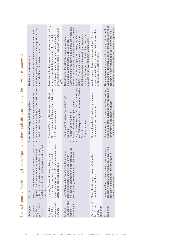| Safeguard                                               | Focus                                                                                                                                                                                                                       | Examples of responsible agencies                                                                                                                                                                                                                 | Unlicensed care workers                                                                                                                                                                                                                                                                                                                                                                                                                                                      |
|---------------------------------------------------------|-----------------------------------------------------------------------------------------------------------------------------------------------------------------------------------------------------------------------------|--------------------------------------------------------------------------------------------------------------------------------------------------------------------------------------------------------------------------------------------------|------------------------------------------------------------------------------------------------------------------------------------------------------------------------------------------------------------------------------------------------------------------------------------------------------------------------------------------------------------------------------------------------------------------------------------------------------------------------------|
| public health<br>Legislation<br>regulating<br>services  | and delivery of public health services within that<br>Regulatory framework that establishes a system<br>jurisdiction to provide a basis for the planning<br>of public health services for the whole of the<br>jurisdiction. | Government audit offices in the public sector<br>State and Territory Departments of Health<br>Health complaint agencies                                                                                                                          | specificity staffing except for contracting with visiting<br>In most cases the legislation is silent in relation to<br>medical officers and other contractors.                                                                                                                                                                                                                                                                                                               |
| private health<br>Legislation<br>regulating<br>services | controls primarily relating to ensuring quality and<br>hospitals and day procedure centres with<br>Licensing frameworks to regulate private<br>safety of private health services                                            | Government audit offices in the public sector<br>State and Territory Departments of Health<br>Health complaint agencies                                                                                                                          | Most legislation has some requirements about staffing<br>unlicensed health workers (Productivity Commission<br>arrangements but they are generally very high level<br>and have no specificity around requirements for<br>1999).                                                                                                                                                                                                                                              |
| education and<br>agreements<br>National<br>training     | to the<br>Consistency in the preparation for workers<br>work that they are employed to undertake.<br>international standards and appropriate<br>across jurisdictions and in keeping with                                    | and Midwifery Council and Australian Medical<br>Organisations such as the Australian Nursing<br>Department of Education Science and<br>Registered Training Organisations<br>Industry Skills Councils<br>University sector<br>Training<br>Council | Authorisation of education and training providers and<br>the registration of vocational educational and training<br>(VET) providers as registered training organisations<br>sectors however reveals these standards do not<br>Certificate 3 and 4 in the health and aged care<br>(RTOs). Examination of the competencies for<br>Standards for the different levels of courses<br>educate to the level of 'basic' nursing care.<br>developed by the Industry Skills Councils. |
| Occupational<br>health and<br>legislation<br>safety     | Physical and psychological safety in the<br>workplace for workers                                                                                                                                                           | Occupational health and safety statutory<br>authorities in each jurisdiction                                                                                                                                                                     | adequately educated, supported and supervised to<br>A safe system of work requires employees to be<br>ensure they are safe at work.                                                                                                                                                                                                                                                                                                                                          |
| egislation<br>Privacy                                   | Personal information collected by organisations<br>concerning clients and employees. Covers the<br>ð<br>collection, maintenance and disclosure<br>personal information.                                                     | agencies or other agencies with responsibility<br>Commonwealth, State and Territory privacy<br>for privacy eg the Health Services<br>Commissioner in Victoria                                                                                    | work and the documentation of care carries high risks<br>No specific requirements but the nature of day to day<br>need for good local procedures and training for staff.<br>for workers at the front line of care and there is a                                                                                                                                                                                                                                             |

Table 8: Examples of current regulatory safeguards and their applicability to unlicensed health workers continued... Marian l,  $\frac{1}{2}$ نۍ<br>ح Ê Ŕ Anilia. é l,  $\frac{1}{7}$ Í, ĸ Ŕ Ĺ J.  $\overline{\mathbf{q}}$ f,  $\ddot{\rm c}$  $T_{\rm obs}$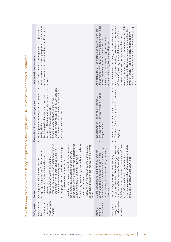| and<br>appropriately prepared for their roles<br>Ensuring that individual workers are:                                                                                                                                                                                                                                                        | Health professional registration authorities in<br>each jurisdiction                                                                                                                                                                                                                   | health workers not currently registered or members of                                                                                                                                                                                                                                                                                                                                                                                                     |
|-----------------------------------------------------------------------------------------------------------------------------------------------------------------------------------------------------------------------------------------------------------------------------------------------------------------------------------------------|----------------------------------------------------------------------------------------------------------------------------------------------------------------------------------------------------------------------------------------------------------------------------------------|-----------------------------------------------------------------------------------------------------------------------------------------------------------------------------------------------------------------------------------------------------------------------------------------------------------------------------------------------------------------------------------------------------------------------------------------------------------|
| themselves ethically and appropriately during<br>are physically and mentally healthy enough<br>the course of their work and daily life if it<br>continue to maintain their skills and<br>are of good character and conduct<br>to undertake the required work.<br>impinges on their work; and<br>knowledge;                                    | Australian Nursing and Midwifery Council and<br>Australian Association of Social Workers and<br>OT Australia - the Australian Association of<br>National professional organisations eg<br>Health professional associations eg<br>Australian Medical Council<br>Occupational Therapists | a professional association that has a certification<br>process.                                                                                                                                                                                                                                                                                                                                                                                           |
| action taken when a health worker's performance<br>Providing mechanisms for reports to be made by<br>the community, colleagues and others, and<br>conduct and health come into question.                                                                                                                                                      |                                                                                                                                                                                                                                                                                        |                                                                                                                                                                                                                                                                                                                                                                                                                                                           |
| Establishing competency standards and codes of<br>conduct and ethics.                                                                                                                                                                                                                                                                         |                                                                                                                                                                                                                                                                                        |                                                                                                                                                                                                                                                                                                                                                                                                                                                           |
| educational providers appropriate for the worker<br>Reviewing and authorising course curricula and                                                                                                                                                                                                                                            |                                                                                                                                                                                                                                                                                        |                                                                                                                                                                                                                                                                                                                                                                                                                                                           |
| environment, documentation etc. Increasingly<br>terms relating to quality and safety are being<br>Setting conditions for funding to be paid for<br>services eg relating to level of care, care<br>introduced.                                                                                                                                 | Increasingly the private health insurance<br>Department of Health and Aged Care<br>organizations                                                                                                                                                                                       | are contingent on the skill, knowledge and experience<br>At a global level - the quality and safety of services<br>accountability that the funding body institutes to<br>of staff providing the care and the level of<br>ensure the funding terms are being met.                                                                                                                                                                                          |
| which is<br>designated standards for structure, process and<br>Safety<br>outcomes, where outcome is the status of an<br>circumstance (Australian Commission on<br>individual, group of people or population<br>wholly attributable to an action, agent or<br>The granting of recognition for meeting<br>and Quality in Health Care 2006 p.4). | Australian Council on Health Care Standards<br>The Aged Care Standards and Accreditation<br>Agency                                                                                                                                                                                     | standards are in the governance and operations of the<br>are contingent on the skill, knowledge and experience<br>institutes to ensure that standards are actually being<br>organisation. It also depends to some extent on the<br>At a global level - the quality and safety of services<br>of the staff providing care and the success of this<br>evel of scrutiny that a third party review agency<br>process depends on how well embedded the<br>met. |

Table 8: Examples of current regulatory safeguards and their applicability to unlicensed health workers continued... Table 8: Examples of current regulatory safeguards and their applicability to unlicensed health workers continued...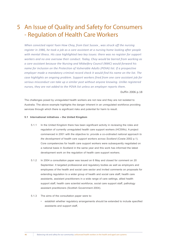# An Issue of Quality and Safety for Consumers 5- Regulation of Health Care Workers

*When convicted rapist Yuen How Choy, from East Sussex , was struck off the nursing register in 1986, he took a job as a care assistant at a nursing home looking after people with mental illness. His case highlighted two key issues: there was no register for support workers and no one oversaw their conduct. Today, Choy would be barred from working as a care assistant because the Nursing and Midwifery Council (NMC) would forward his name for inclusion on the Protection of Vulnerable Adults (POVA) list. If a prospective*  employer made a mandatory criminal record check it would find his name on the list. The *case highlights an ongoing problem. Support workers fired from one care assistant job for serious misconduct can take up a similar post without anyone knowing. Unlike registered nurses, they are not added to the POVA list unless an employer reports them.*

Duffin 2006 p.18

The challenges posed by unregulated health workers are not new and they are not isolated to Australia. The above example highlights the danger inherent in an unregulated workforce providing services through which there is significant risks and potential for harm to result.

## **5.1 International initiatives – the United Kingdom**

- 5.1.1 In the United Kingdom there has been significant activity in reviewing the roles and regulation of currently unregulated health care support workers (HCSWs). A project commenced in 2001 with the objective to: *provide a co-ordinated national approach to the development of health care support workers across Scotland (Cowie 2002 p.1).* Core competencies for health care support workers were subsequently negotiated on a national basis in Scotland in the same year and this work has informed the latest development work on the regulation of health care support workers.
- 5.1.2 In 2004 a consultation paper was issued on 6 May and closed for comment on 20 September. It targeted professional and regulatory bodies as well as employers and employees of the health and social care sector and invited comments on proposals for extending regulation to a wider group of health and social care staff; health care assistants, assistant practitioners in a wide range of care settings, allied health support staff, health care scientist workforce, social care support staff, pathology assistant practitioners (Scottish Government 2004).
- 5.1.3 The aims of the consultation paper were to:
	- establish whether regulatory arrangements should be extended to include specified assistants and support staff,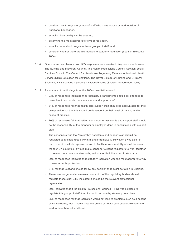- consider how to regulate groups of staff who move across or work outside of traditional boundaries,
- establish how quality can be assured,
- determine the most appropriate form of regulation,
- establish who should regulate these groups of staff, and
- consider whether there are alternatives to statutory regulation (Scottish Executive 2004).
- 5.1.4 One hundred and twenty two (122) responses were received. Key respondents were: The Nursing and Midwifery Council, The Health Professions Council, Scottish Social Services Council, The Council for Healthcare Regulatory Excellence, National Health Service (NHS) Education for Scotland, The Royal College of Nursing and UNISON Scotland, NHS Scotland Operating Divisions/Boards (Scottish Government 2004).
- 5.1.5 A summary of the findings from the 2004 consultation found:
	- • 93% of responses indicated that regulatory arrangements should be extended to cover health and social care assistants and support staff.
	- • 81% of responses felt that health care support staff should be accountable for their own practice but that this should be dependent on their level of training and/or scope of practice.
	- 70% of responses felt that setting standards for assistants and support staff should be the responsibility of the manager or employer, done in consultation with support staff.
	- The consensus was that 'preferably' assistants and support staff should be regulated as a single group within a single framework. However it was also felt that, to avoid multiple registration and to facilitate transferability of staff between the four UK countries, it would make sense for existing regulators to work together to develop core common standards, with some discipline specific standards.
	- 90% of responses indicated that statutory regulation was the most appropriate way to ensure public protection.
	- • 64% felt that Scotland should follow any decision that might be taken in England.
	- There was no general consensus over which of the regulatory bodies should regulate these staff; 33% indicated it should be the relevant professional organisation.
	- 60% indicated that if the Health Professional Council (HPC) was selected to regulate this group of staff, then it should be done by statutory committee.
	- • 85% of responses felt that regulation would not lead to problems such as a second class workforce, that it would raise the profile of health care support workers and lead to an enhanced workforce.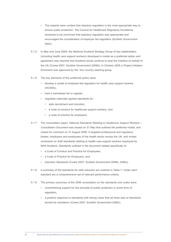- The majority were content that statutory regulation is the most appropriate way to ensure public protection. The Council for Healthcare Regulatory Excellence remained to be convinced that statutory regulation was appropriate and encouraged the consideration of employer led regulation (Scottish Government 2004).
- 5.1.5 In May and June 2005, the National Scotland Strategy Group of key stakeholders (including health care support workers) developed a model as a preferred option and agreement was reached that Scotland would continue to lead the initiative on behalf of the UK (Cowie 2007; Scottish Government 2006b). In October 2005 a Project Initiation Document was approved by the four country steering group.
- 5.1.6 The key elements of this preferred option were:
	- • develop a model of employer-led regulation for health care support workers (HCSWs),
	- • hold a centralised list or register,
	- negotiate nationally agreed standards for:
		- • safe recruitment and induction,
		- • a code of conduct for healthcare support workers, and
		- a code of practice for employers.
- 5.1.7 The consultation paper: *National Standards Relating to Healthcare Support Workers Consultation Document* was issued on 31 May that outlined the preferred model, and closed for comment on 31 August 2006. It targeted professional and regulatory bodies, employers and employees of the health sector across the UK, and invited comments on draft standards relating to health care support workers employed by NHS Scotland. Standards outlined in the document related specifically to:
	- a Code of Conduct and Practice for Employees,
	- a Code of Practice for Employers, and
	- Induction Standards (Cowie 2007; Scottish Government 2006b, 2006c).
- 5.1.8 A summary of the standards for safe induction are outlined in Table 7. Under each standard are a comprehensive set of relevant performance criteria.
- 5.1.9 The primary outcomes of the 2006 consultation on the standards and codes were:
	- • overwhelming support for the principle of public protection in some form of regulation,
	- a positive response to standards with strong views that all three sets of standards should be mandatory (Cowie 2007; Scottish Government 2006c).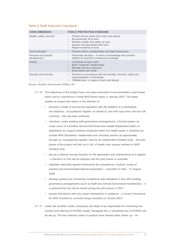## Table 9: Draft Induction Standards

| <b>CORE DIMENSION</b>              | <b>PUBLIC PROTECTION STANDARD</b>                                                                                                                                                                                                             |
|------------------------------------|-----------------------------------------------------------------------------------------------------------------------------------------------------------------------------------------------------------------------------------------------|
| Health, safety, security           | Protect service users from harm and abuse<br>$\bullet$<br>Be personally fit at work<br>$\bullet$<br>Maintain health and safety at work<br>$\bullet$<br>Assess risk associated with work<br>$\bullet$<br>Report incidents at work<br>$\bullet$ |
| Communication                      | Practise within confidentiality and legal frameworks<br>$\bullet$                                                                                                                                                                             |
| Personal and people<br>development | Personally develop - in terms of knowledge and practice<br>$\bullet$<br>Reflect on practice to enhance knowledge<br>$\bullet$                                                                                                                 |
| Quality                            | Contribute to team work<br>$\bullet$<br>Build 'customer' relationships<br>$\bullet$<br>Manage self as a resource<br>$\bullet$<br>Work within own limits<br>$\bullet$                                                                          |
| Equality and diversity             | Practice in accordance with the equality, diversity, rights and<br>$\bullet$<br>responsibilities of individuals<br>'Whistle-blow' in cases of harm and abuse<br>$\bullet$                                                                     |

*Source: Scottish Government 2006b p.20*

- 5.1.10 The objectives of the project have now been amended to accommodate a pilot phase which was to commence in three NHS Board areas in January 2007. The latest update on project and status is the intention to:
	- develop a model of service-led regulation with the addition of a centralised, non-statutory, 'occupational' register, on behalf of, and with input from, the four UK countries - this has been achieved.
	- introduce, under existing staff governance arrangements, a formal system (ie under cover of a Scottish Government Executive Health Department letter) of registration for support workers employed within the health sector in Scotland (to include NHS Standards; independent and voluntary sectors as appropriate) through an 'occupational register' held by an independent Scottish body - *the pilot phase of the project will test out a 'list' of health care support workers in NHS Scotland only.*
	- set up a national records function for the generation and maintenance of a register *- a decision on this will be delayed until the pilot phase is complete.*
	- negotiate nationally agreed frameworks for competence; conduct; scope of practice and induction/educational preparation - *consulted 31 May - 31 August 2006.*
	- develop systems for monitoring compliance with standards in line with existing governance arrangements (such as Staff and Clinical Governance frameworks) *- it is planned that this will be tested during the pilot phase in 2007.*
	- ensure articulation with any career frameworks in existence a Career Framework *for NHS Scotland is currently being consulted on* (Cowie 2007).
- 5.1.11 Under the Scottish model, employers are likely to be responsible for monitoring the conduct and training of HCSWs locally. Alongside this, a centralised list of HCSWs will be set up. The two national codes of practice have already been drawn up – for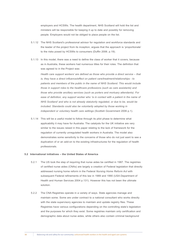employers and HCSWs. The health department, NHS Scotland will hold the list and ministers will be responsible for keeping it up to date and possibly for removing people. Employers would not be obliged to place people on the list.

- 5.1.12 The NHS Scotland's professional advisor for regulation and workforce standards and the leader of the project from its inception, argues that the approach is 'proportionate' to the risks posed by HCSWs to consumers (Duffin 2006. p.19).
- 5.1.13 In this model, there was a need to define the class of worker that it covers, because as in Australia, these workers had numerous titles for their roles. The definition that was agreed to in the Project was:

*Health care support workers' are defined as those who provide a direct service – that is, they have a direct influence/effect on patient care/treatment/relationships - to patients and members of the public in the name of NHS Scotland. This would include those in support roles to the healthcare professions (such as care assistants) and those who provide ancillary services (such as porters and mortuary attendants). For ease of definition, any support worker who 'is in contact with a patient in the name of NHS Scotland' and who is not already statutorily regulated, or due to be, would be included. Standards could also be voluntarily adopted by those working in independent or voluntary health care settings* (Scottish Government 2006 p.1).

5.1.14 This will be a useful model to follow through its pilot phase to determine what applicability it may have for Australia. The catalysts for the UK initiative are very similar to the issues raised in this paper relating to the lack of framework for the regulation of currently unregulated health workers in Australia. The model also demonstrates some sensitivity to the concerns of those who do not just want to see a duplication of or an add-on to the existing infrastructures for the regulation of health professionals.

## **5.2 International initiatives – the United States of America**

- 5.2.1 The US took the step of requiring that nurse aides be certified in 1987. The registries of certified nurse aides (CNAs) are largely a creation of Federal legislation that directly addressed nursing home reform in the Federal *Nursing Home Reform Act* with subsequent Federal refinements of this law in 1989 and 1990 (USA Department of Health and Human Services 2004 p.131). However this has not been the ultimate solution.
- 5.2.2 The CNA Registries operate in a variety of ways. State agencies manage and maintain some. Some are under contract to a national consultant who works directly with the state supervisory agencies to maintain and update registry files. These Registries have various configurations depending on the controlling state's legislation and the purposes for which they exist. Some registries maintain only certification and demographic data about nurse aides, while others also contain criminal background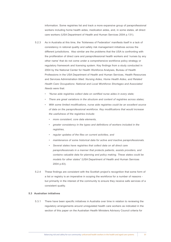information. Some registries list and track a more expansive group of paraprofessional workers including home health aides, medication aides, and, in some states, all direct care workers (USA Department of Health and Human Services 2004 p.131).

- 5.2.3 As in Australia at this time, the 'fickleness of Federation' manifests itself in a lack of consistency in rational quality and safety risk management initiatives across the different jurisdictions. Also similar are the problems that the USA is confronting with the proliferation of direct care and paraprofessional health workers and 'nurses by any other name' that do not come under a comprehensive workforce policy strategy or regulatory framework and licensing system. Key findings from a study conducted in 2004 by the National Center for Health Workforce Analyses, Bureau of Health Professions in the USA Department of Health and Human Services, Health Resources and Services Administration titled: *Nursing Aides, Home Health Aides, and Related Health Care Occupations: National and Local Workforce Shortages and Associated Needs* were that:
	- *• "Nurse aide registries collect data on certified nurse aides in every state;*
	- *There are great variations in the structure and content of registries across states;*
	- *With some limited modifications, nurse aide registries could be an excellent source of data on the paraprofessional workforce. Key modifications that would increase the usefulness of the registries include:*
		- *• more consistent, core data elements,*
		- greater consistency in the types and definitions of workers included in the *registries,*
		- *• regular updates of the files on current activities, and*
		- *• maintenance of some historical data for active and inactive paraprofessionals.*
		- *• Several states have registries that collect data on all direct care paraprofessionals in a manner that protects patients, assists providers, and contains valuable data for planning and policy making. These states could be models for other states"* (USA Department of Health and Human Services 2004 p.63).
- 5.2.4 These findings are consistent with the Scottish project's recognition that some form of a list or registry is an imperative in scoping the workforce for a number of reasons but primarily in the interest of the community to ensure they receive safe services of a consistent quality.

## **5.3 Australian initiatives**

5.3.1 There have been specific initiatives in Australia over time in relation to reviewing the regulatory arrangements around unregulated health care workers as indicated in the section of this paper on the Australian Health Ministers Advisory Council criteria for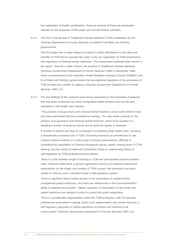the registration of health practitioners. However several of these are particularly relevant for the purposes of this paper and warrant further comment.

5.3.2 The first is the Review of Traditional Chinese Medicine (TCM) undertaken by the Victorian Department of Human Services on behalf of all State and Territory governments.

The first stage was a major research project to collect information on the risks and benefits of TCM and to consider the need, if any, for registration of TCM practitioners and regulation of Chinese herbal medicines. The researchers published their results in the report: *Towards a Safer Choice: the practice of Traditional Chinese Medicine*  (Victorian Government Department of Human Services 1996) in November 1996, which recommended to the Australian Health Ministers Advisory Council (AHMAC) and to all State and Territory governments that occupational regulation of the profession of TCM proceed as a matter of urgency (Victorian Government Department of Human Services 1997 p.3).

5.3.3 The key findings of the research have strong resonance to the outcomes of research that has been conducted into other unregulated health workers such as the care assistants in the health care industry:

*"The practice of acupuncture and Chinese herbal medicine carries both inherent risks and risks associated with poor practitioner training. The risks relate primarily to the practice of acupuncture and Chinese herbal medicine, which have resulted in a significant number of adverse events and at least five deaths in Australia.* 

*A number of factors are likely to contribute to increasing public health risks, including a dramatically increased use of TCM, increasing demands on practitioners to use Chinese herbal medicine in a wide range of clinical presentations, difficulty in controlling the importation of Chinese therapeutic goods, widely varying levels of TCM training, and the impact of National Competition Policy in undermining efforts at self-regulation by TCM professional associations.* 

*There is a link between length of training in TCM and self-reported adverse incident*  rates. However while there is general agreement among non-medical professional *associations on the length and content of TCM courses, the profession has been unable to enforce such a standard under a self-regulatory system.* 

*There is significant black market activity in the importation of unlisted and/or unregistered patent medicines, and there are deficiencies in the Commonwealth's ability to address this problem. Tighter regulation of importation of raw herbs and patent medicines are needed in order to protect the public adequately.* 

*There is considerable fragmentation within the TCM profession, with 23 separate professional associations existing. Given such fragmentation and vested interests, a self regulatory approach to setting standards of practice will continue to be unsuccessful"* (Victorian Government Department of Human Services 1997 p.4).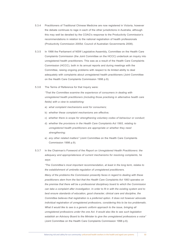- 5.3.4 Practitioners of Traditional Chinese Medicine are now registered in Victoria, however the debate continues to rage in each of the other jurisdictions in Australia, although this may well be derailed by the COAG's response to the Productivity Commission's recommendations in relation to the national registration of health professionals (Productivity Commission 2005d; Council of Australian Governments 2008).
- 5.3.5 In 1998 the Parliament of NSW Legislative Assembly, Committee on the Health Care Complaints Commission (the Joint Committee on the HCCC) undertook an inquiry into unregistered health practitioners. This was as a result of the Health Care Complaints Commission (HCCC), both in its annual reports and during meetings with the Committee, raising ongoing problems with respect to its limited ability to deal adequately with complaints about unregistered health practitioners (Joint Committee on the Health Care Complaints Commission 1998 p.9).
- 5.3.6 The Terms of Reference for that Inquiry were:

*"That the Committee examine the experience of consumers in dealing with unregistered health practitioners (including those practising in alternative health care fields) with a view to establishing:*

- a) *what complaint mechanisms exist for consumers;*
- b) *whether these complaint mechanisms are effective;*
- c) *whether there is scope for strengthening voluntary codes of behaviour or conduct;*
- d) *whether the provisions in the Health Care Complaints Act 1993, relating to unregistered health practitioners are appropriate or whether they need strengthening;*
- e) *any other related matters"* (Joint Committee on the Health Care Complaints Commission 1998 p.9).
- 5.3.7 In the Chairman's Foreword of the *Report on Unregistered Health Practitioners: the adequacy and appropriateness of current mechanisms for resolving complaints, he says:*

*"The Committee's most important recommendation, at least in the long term, relates to the establishment of umbrella regulation of unregistered practitioners.*

*Many of the problems the Commission presently faces in regard to dealing with these practitioners stem from the fact that the Health Care Complaints Act 1993 operates on the premise that there will be a professional disciplinary board to which the Commission can take a complaint after investigation. In order to fit in with the existing system and to best ensure standards of education, good character, clinical care and discipline, the Committee believes that registration is a preferred option. It does not however advocate individual registration of unregistered professions, considering this to be too problematic. What it would like to see is a generic uniform approach to the issue, bringing all unregistered professions under the one Act. It would also like to see such legislation establish an Advisory Board to the Minister to give the unregistered professions a voice"*  (Joint Committee on the Health Care Complaints Commission 1998 p.6).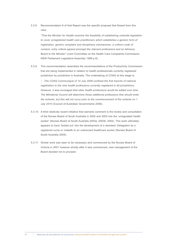5.3.8 Recommendation 6 of that Report was the specific proposal that flowed from this view:

*"That the Minister for Health examine the feasibility of establishing umbrella legislation to cover unregistered health care practitioners which establishes a generic form of registration, generic complaint and disciplinary mechanisms, a uniform code of conduct, entry criteria agreed amongst the relevant professions and an Advisory Board to the Minister"* (Joint Committee on the Health Care Complaints Commission NSW Parliament Legislative Assembly 1998 p.8).

- 5.3.9 This recommendation resembles the recommendations of the Productivity Commission that are being implemented in relation to health professionals currently registered jurisdiction by jurisdiction in Australia. The undertaking of COAG at this stage is: *"…The COAG Communiqué of 14 July 2006 confined the first tranche of national registration to the nine health professions currently registered in all jurisdictions. However, it was envisaged that other health professions would be added over time. The Ministerial Council will determine those additional professions that should enter the scheme, but this will not occur prior to the commencement of the scheme on 1 July 2010* (Council of Australian Governments 2008).
- 5.3.10 A third relatively recent initiative that warrants comment is the review and consultation of the Nurses Board of South Australia in 2002 and 2003 into the 'unregulated health worker' (Nurses Board of South Australia 2003a; 2003b; 2002). This work ultimately appears to have 'fizzled out' into the development of a standard: *Delegation by a registered nurse or midwife to an unlicensed healthcare worker* (Nurses Board of South Australia 2005).
- 5.3.11 Similar work was seen to be necessary and commenced by the Nurses Board of Victoria in 2001 however shortly after it was commenced, new management of the Board decided not to proceed.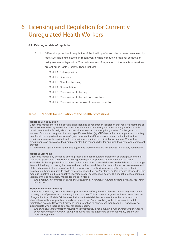# Licensing and Regulation for Currently 6Unregulated Health Workers

## **6.1 Existing models of regulation**

- 6.1.1 Different approaches to regulation of the health professions have been canvassed by most Australian jurisdictions in recent years, while conducting national competition policy reviews of legislation. The main models of regulation of the health professions are set out in Table 7 below. These include:
	- Model 1: Self-regulation
	- Model 2: Licensing
	- Model 3: Negative licensing
	- Model 4: Co-regulation
	- Model 5: Reservation of title only
	- Model 6: Reservation of title and core practices
	- Model 7: Reservation and whole of practice restriction

## Table 10: Models for regulation of the health professions

## **Model 1: Self-regulation**

Under this model, there is no occupational licensing or registration legislation that requires members of the workforce to be registered with a statutory body, nor is there government oversight of standards development and a formal judicial process that makes up the disciplinary system for the group of workers. Consumers rely on other non specific regulation (eg OHS legislation) and a person's voluntary membership of a professional or craft group association (if there is one) as an indication that the practitioner is suitably qualified, safe to practise and subject to a disciplinary scheme. Where the practitioner is an employee, their employer also has responsibility for ensuring their safe and competent practice.

*• This model applies to all health and aged care workers that are not subject to statutory registration.*

#### **Model 2: Licensing**

Under this model, any person is able to practise in a self-regulated profession or craft group and their details are placed on a government oversighted register of persons who are working in certain industries. To be employed in that industry the person has to establish their credentials which can range from: minimal, eg not having had any serious criminal convictions that would impact on an assessment of their character in their area of work; to more onerous, eg having successfully obtained a basic qualification, being required to abide by a code of conduct and/or ethics, and/or practice standards. This model is usually linked to a negative licensing model as described below. This model is a less complex version of the co-regulatory model described in Model 4.

*• The Scottish Pilot Project involving the regulation of healthcare support workers generally fits within this model.*

#### **Model 3: Negative licensing**

Under this model, any person is able to practise in a self-regulated profession unless they are placed on a register of persons who are ineligible to practise. This is a more targeted and less restrictive form of regulation than Models 5-7 because it does not establish barriers to entry to the profession, but allows those with poor practice records to be excluded from practising without the need for a full registration system. However it provides less protection to consumers than Models 4-7 and may be inappropriate when there is potential for serious harm.

*• The child care and protection legislation introduced for people working with children and the police check requirements currently being introduced into the aged care sector essentially create this model of regulation.*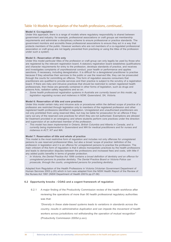## Table 10: Models for regulation of the health professions, *continued...*

## **Model 4: Co-regulation**

Under this approach, there is a range of models where regulatory responsibility is shared between government and industry: for example, professional associations or craft groups set membership requirements and administer a disciplinary scheme to ensure professional or practice standards. The government monitors and accredits these professional associations to ensure they act in a way that protects members of the public. However workers who are not members of a co-regulated professional association or craft group are not legally prevented from practising or using the titles of the profession under such a system.

#### **Model 5:- Reservation of title only**

Under this model particular titles of the profession or craft group can only legally be used by those who are registered by the relevant registration board. A statutory registration board establishes qualifications and character requirements for entry to the profession, develops standards of practice, and receives and investigates complaints of unprofessional conduct, poor health or performance and applies sanctions, if necessary, including deregistration. It is difficult for a deregistered practitioner to practise because if they advertise their services to the public or use the reserved title, they can be prosecuted through the courts for committing an offence. This form of regulation assures consumers that practitioners are qualified to provide services and their practice is subject to the scrutiny of a registration board. If there are risky and intrusive practices that should be restricted to certain registered health professionals, then these are generally contained in other forms of legislation, such as drugs and poisons Acts, radiation safety regulations and so on.

Some health professional registration systems in Australia are currently based on this model, eg *legislation regulating nurses and midwives in NSW, Queensland, SA, Victoria.*

#### **Model 6: Reservation of title and core practices**

Under this model certain risky and intrusive acts or procedures within the defined scope of practice of a profession are restricted through legislation only to members of the registered profession and other registered health professions identified in legislation. Unregistered and unauthorised practitioners are not only prohibited from using reserved titles, but may be liable for prosecution for an offence if they carry out any of the reserved core practices for which they are not authorised. Exemptions are allowed for treatment provided in an emergency and where students perform core practices under the direction and supervision of an authorised member of the profession.

*• This model has been implemented in Ontario, British Columbia and Alberta in Canada, and is currently being implemented in Queensland and WA for medical practitioners and for nurses and midwives in ACT, NT and WA.*

## **Model 7: Reservation of title and whole of practice**

This model is the most restrictive form of regulation and includes not only offences for unregistered persons to use reserved professional titles, but also a broad 'scope of practice' definition of the profession in legislation and it is an offence for unregistered persons to practise the profession. The main criticism of this form of regulation is that it allows monopolistic practices by the health professions and leads to demarcation disputes between the professions and increased fees and costs, with little if any added public benefits in terms of greater protection.

*• In Victoria, the Dental Practice Act 1999 contains a broad definition of dentistry and an offence for unregistered persons to practise dentistry. The Dental Practice Board or Victoria Police can prosecute, through the courts, unregistered persons for practising dentistry.* 

Adapted from Regulation of the Health Professions in Victoria (Victorian Government Department of Human Services 2003 p.20) which in turn was adapted from the NSW Health Report of the Review of the Nurses Act 1991 (NSW Department of Health 2001b pp.27-36)

#### **6.2 Opportunity knocks - COAG and a cogent framework of regulation**

6.2.1 A major finding of the Productivity Commission review of the health workforce after reviewing the operations of more than 90 health professional regulatory authorities was that:

*"Diversity in these state-based systems leads to variations in standards across the country, results in administrative duplication and can impede the movement of health workers across jurisdictions not withstanding the operation of mutual recognition"* (Productivity Commission 2005d p.xxv).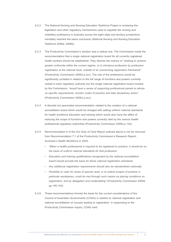- 6.2.2 The National Nursing and Nursing Education Taskforce Project in reviewing the legislation and other regulatory mechanisms used to regulate the nursing and midwifery professions in Australia across the eight state and territory jurisdictions inevitably reached the same conclusion (National Nursing and Nursing Education Taskforce 2006a; 2006b).
- 6.2.3 The Productivity Commission's solution was a radical one. The Commission made the recommendation that a single national registration board for all currently registered health workers should be established. They dismiss the notions of *"seeking to achieve greater uniformity within the current regime, or to introduce profession by profession registration at the national level, outside of an overarching registration framework"*  (Productivity Commission 2005d p.xxv). The role of the professions would be significantly curtailed in relation to the full range of functions and powers currently vested in each regulatory authority but the single national registration board mooted by the Commission, *"would have a series of supporting professional panels to advise on specific requirements, monitor codes of practice and take disciplinary action"*  (Productivity Commission 2005d p.xxv).
- 6.2.4 A discrete but associated recommendation related to the creation of a national accreditation board which would be charged with setting uniform national standards for health workforce education and training which would also have the effect of reducing the scope of functions and powers currently held by the various health professional regulatory authorities (Productivity Commission 2005d p.134).
- 6.2.5 Recommendation 6 of the Our Duty of Care Report outlined above is not far removed from Recommendation 7.1 of the Productivity Commission's Research Report: *Australia's Health Workforce in 2005:*
	- *• "When a health professional is required to be registered to practice, it should be on the basis of uniform national standards for that profession:*
	- *• Education and training qualifications recognised by the national accreditation board should provide the basis for these national registration standards.*
	- *• Any additional registration requirements should also be standardised nationally.*
	- *• Flexibility to cater for areas of special need, or to extend scopes of practice in particular workplaces, could be met through such means as placing conditions on registration, and by delegation and credentialing"* (Productivity Commission 2005d pp.140-142).
- 6.2.6 These recommendations formed the basis for the current considerations of the Council of Australian Governments (COAG) in relation to national registration and national accreditation of courses leading to registration. In responding to the Productivity Commission inquiry, COAG said: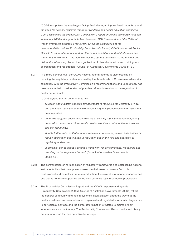*"COAG recognises the challenges facing Australia regarding the health workforce and the need for national systemic reform to workforce and health education structures. COAG welcomes the Productivity Commission's report on Health Workforce released in January 2006 and supports its key directions. COAG has endorsed the National Health Workforce Strategic Framework. Given the significance of the recommendations of the Productivity Commission's Report, COAG has asked Senior Officials to undertake further work on the recommendations and related issues and report to it in mid-2006. This work will include, but not be limited to, the number and distribution of training* places, the organisation of clinical education and training, and accreditation and registration" (Council of Australian Governments 2006a p.13).

6.2.7 At a more general level the COAG national reform agenda is also focusing on reducing the regulatory burden imposed by the three levels of Government which sits compatibly with the Productivity Commission's recommendations and undoubtedly had resonance in their consideration of possible reforms in relation to the regulation of health professionals:

*"COAG agreed that all governments will::*

- establish and maintain effective arrangements to maximise the efficiency of new *and amended regulation and avoid unnecessary compliance costs and restrictions on competition;*
- *• undertake targeted public annual reviews of existing regulation to identify priority areas where regulatory reform would provide significant net benefits to business and the community;*
- *identify further reforms that enhance requlatory consistency across jurisdictions or reduce duplication and overlap in regulation and in the role and operation of regulatory bodies; and*
- *in-principle, aim to adopt a common framework for benchmarking, measuring and reporting on the regulatory burden"* (Council of Australian Governments 2006a p.9).
- 6.2.8 The centralisation or harmonisation of regulatory frameworks and establishing national instrumentalities that have power to execute their roles is no easy feat. It is controversial and complex in a federated nation. However it is a rational response and one that is generally supported by the nine currently registered health professions.
- 6.2.9 The Productivity Commission Report and the COAG response and agenda (Productivity Commission 2005d; Council of Australian Governments 2006a) reflect the general community and health system's dissatisfaction about the way that the health workforce has been educated, organised and regulated in Australia, largely due to our colonial heritage and the fierce determination of States to maintain their independence and autonomy. The Productivity Commission Report boldly and clearly put a strong case for the imperative for change.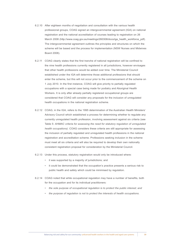- 6.2.10 After eighteen months of negotiation and consultation with the various health professional groups, COAG signed an intergovernmental agreement (IGA) on national registration and the national accreditation of courses leading to registration on 26 March 2008 (http://www.coag.gov.au/meetings/260308/docs/iga\_health\_workforce\_pdf). The intergovernmental agreement outlines the principles and structures on which the scheme will be based and the process for implementation (NSW Nurses and Midwives Board 2008).
- 6.2.11 COAG clearly states that the first tranche of national registration will be confined to the nine health professions currently registered in all jurisdictions, however envisages that other health professions would be added over time. The Ministerial Council established under the IGA will determine those additional professions that should enter the scheme, but this will not occur prior to the commencement of the scheme on 1 July 2010. In the first instance, COAG will give priority to partially regulated occupations with a special case being made for podiatry and Aboriginal Health Workers. It is only after already partially registered occupational groups are considered that COAG will consider any proposals for the inclusion of unregulated health occupations in the national registration scheme.
- 6.2.12 COAG, in the IGA, refers to the 1995 determination of the Australian Health Ministers' Advisory Council which established a process for determining whether to regulate any currently unregulated health profession, involving assessment against six criteria (see Table 5: *AHMAC criteria for assessing the need for statutory regulation of unregulated health occupations)*. COAG considers these criteria are still appropriate for assessing the inclusion of partially regulated and unregulated health professions in the national registration and accreditation scheme. Professions seeking inclusion in the scheme must meet all six criteria and will also be required to develop their own nationally consistent registration proposal for consideration by the Ministerial Council.
- 6.2.13 Under this process, statutory registration would only be introduced where:
	- • it was supported by a majority of jurisdictions; and
	- • it could be demonstrated that the occupation's practice presents a serious risk to public health and safety which could be minimised by regulation.
- 6.2.14 COAG noted that while occupational regulation may have a number of benefits, both for the occupation and for its individual practitioners:
	- *• the sole purpose of occupational regulation is to protect the public interest; and*
	- the purpose of regulation is not to protect the interests of health occupations.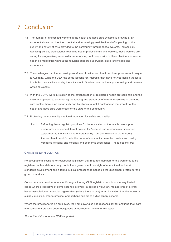# 7 Conclusion

- 7.1 The number of unlicensed workers in the health and aged care systems is growing at an exponential rate that has the potential and increasingly real likelihood of impacting on the quality and safety of care provided to the community through those systems. Increasingly replacing skilled, professional, regulated health professionals and workers, these workers are caring for progressively more older, more acutely frail people with multiple physical and mental health co-morbidities without the requisite support, supervision, skills, knowledge and experience.
- 7.2 The challenges that the increasing workforce of unlicensed health workers pose are not unique to Australia. While the USA has some lessons for Australia, they have not yet tackled the issue in a holistic way, which is why the initiatives in Scotland are particularly interesting and deserve watching closely.
- 7.3 With the COAG work in relation to the nationalisation of registered health professionals and the national approach to establishing the funding and standards of care and services in the aged care sector, there is an opportunity and timeliness to 'get it right' across the breadth of the health and aged care workforces for the sake of the community.
- 7.4 Protecting the community rational regulation for safety and quality.
	- 7.4.1 Reframing these regulatory options for the equivalent of the health care support worker provides some different options for Australia and represents an important supplement to the work being undertaken by COAG in relation to the currently licensed health workforce in the name of community protection; safety and quality; workforce flexibility and mobility; and economic good sense. These options are:

## OPTION 1: SELF-REGULATION

No occupational licensing or registration legislation that requires members of the workforce to be registered with a statutory body, nor is there government oversight of educational and work standards development and a formal judicial process that makes up the disciplinary system for the group of workers.

Consumers rely on other non specific regulation (eg OHS legislation) and in some very limited cases where a collective of some sort has evolved - a person's voluntary membership of a craft based association or industrial organisation (where there is one) as an indication that the worker is suitably qualified, safe to practise, and perhaps subject to a disciplinary scheme.

Where the practitioner is an employee, their employer also has responsibility for ensuring their safe and competent practice under obligations as outlined in Table 6 in this paper.

*This is the status quo and NOT supported.*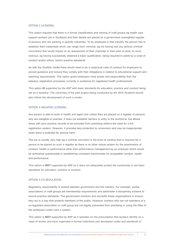#### OPTION 2: LICENSING

This option requires that there is a formal classification and naming of craft groups eg health care support workers (as in Scotland) and their details are placed on a government oversighted register of persons who are working in specific industries. To be employed in that industry the person has to establish their credentials which can range from: minimal, eg not having had any serious criminal convictions that would impact on an assessment of their character in their area of work; to more onerous, eg having successfully obtained a basic qualification, being required to abide by a code of conduct and/or ethics, and/or practice standards.

As with the Scottish model there would need to be a reciprocal code of conduct for employers to proved guidance and ensure they comply with their obligations in relation to educational support and reporting requirements. This option gives employers more power and responsibility than the statutory registration processes currently in existence for registered health professionals.

*This option IS supported by the ANF with basic standards for education, practice and conduct being*  set as a baseline. The outcomes of the pilot project being conducted by the NHS Scotland should *also inform the development of such a model.*

## OPTION 3: NEGATIVE LICENSING

Any person is able to work in health and aged care unless they are placed on a register of persons who are ineligible to practise. It does not establish barriers to entry to the workforce, but allows those with poor practice records to be excluded from practising without the need for a full registration system. However, it provides less protection to consumers and may be inappropriate when there is potential for serious harm.

The bar is usually very high eg a criminal conviction is the level of conduct that is required for a person to be placed on such a register as there is no other robust system for the examination of conduct, health or performance other than performance management by an employer which would be somewhat questionable in establishing consistent benchmarks for acceptable conduct, health and performance.

*This option is NOT supported by ANF as it does not adequately protect the community or set basic standards for education, practice or conduct.*

## OPTION 4: CO-REGULATION

Regulatory responsibility is shared between government and the industry. For example, worker associations or craft groups set membership requirements and administer a disciplinary scheme to ensure practice standards. The government monitors and accredits these organisations to ensure they act in a way that protects members of the public. However, workers who are not members of a co-regulated association or craft group are not legally prevented from practising or using the titles of the profession under such a system.

*This option is NOT supported by ANF as it operates on the presumption that workers identify as a class of worker and have organised in formal collectives and developed codes and standards of*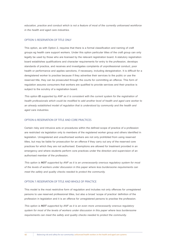*education, practice and conduct which is not a feature of most of the currently unlicensed workforce in the health and aged care industries.*

## OPTION 5: RESERVATION OF TITLE ONLY

This option, as with Option 2, requires that there is a formal classification and naming of craft groups eg health care support workers. Under this option particular titles of the craft group can only legally be used by those who are licensed by the relevant registration board. A statutory registration board establishes qualifications and character requirements for entry to the profession, develops standards of practice, and receives and investigates complaints of unprofessional conduct, poor health or performance and applies sanctions, if necessary, including deregistration. It is difficult for a deregistered worker to practise because if they advertise their services to the public or use the reserved title, they can be prosecuted through the courts for committing an offence. This form of regulation assures consumers that workers are qualified to provide services and their practice is subject to the scrutiny of a registration board.

*This option IS supported by ANF as it is consistent with the current system for the registration of health professionals which could be modified to add another level of health and aged care worker to*  an already established model of regulation that is understood by community and the health and *aged care industries.*

## OPTION 6: RESERVATION OF TITLE AND CORE PRACTICES

Certain risky and intrusive acts or procedures within the defined scope of practice of a profession are restricted via legislation only to members of the registered worker group and others identified in legislation. Unregistered and unauthorised workers are not only prohibited from using reserved titles, but may be liable for prosecution for an offence if they carry out any of the reserved core practices for which they are not authorised. Exemptions are allowed for treatment provided in an emergency and where students perform core practices under the direction and supervision of an authorised member of the profession.

*This option is NOT supported by ANF as it is an unnecessarily onerous regulatory system for most of the levels of workers under discussion in this paper where less burdensome requirements can meet the safety and quality checks needed to protect the community.*

## OPTION 7: RESERVATION OF TITLE AND WHOLE OF PRACTICE

This model is the most restrictive form of regulation and includes not only offences for unregistered persons to use reserved professional titles, but also a broad 'scope of practice' definition of the profession in legislation and it is an offence for unregistered persons to practise the profession.

*This option is NOT supported by ANF as it is an even more unnecessarily onerous regulatory system for most of the levels of workers under discussion in this paper where less burdensome requirements can meet the safety and quality checks needed to protect the community.*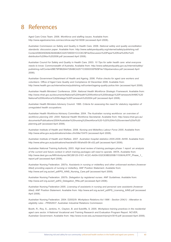## References 8

Aged Care Crisis Team. 2006. *Workforce and staffing issues*. Available from: http://www.agedcarecrisis.com/acc/show.asp?id=5008 (accessed April 2008).

Australian Commission on Safety and Quality in Health Care. 2006. *National safety and quality accreditation standards: discussion paper*. Available from: http://www.safetyandquality.org/internet/safety/publishing.nsf/ Content/D6D45D8AEA648AB2CA25729D001CCC6C/\$File/Discussion%20Paper%20final%20for%20 distribution%20Nov%202006.pdf (accessed April 2008).

Australian Council for Safety and Quality in Health Care. 2003. *10 Tips for safer health care: what everyone needs to know.* Commonwealth of Australia. Available from: http://www.safetyandquality.gov.au/internet/safety/ publishing.nsf/Content/BE79FB82644728ABCA2571C0000330FB/\$File/10tipsbwnobox.pdf (accessed April 2008).

Australian Government Department of Health and Ageing. 2006. *Police checks for aged care workers and volunteers.* Office of Aged Care Quality and Compliance 22 December 2006. Available from: http://www.health.gov.au/internet/wcms/publishing.nsf/content/ageing-quality-police.htm (accessed April 2008).

Australian Health Ministers' Conference. 2004. *National Health Workforce Strategic Framework*. Available from: http://www.nhwt.gov.au/documents/National%20Health%20Workforce%20Strategic%20Framework/AHMC%20 National%20Workforce%20Strategic%20Framework%202004.pdf (accessed April 2008).

Australian Health Ministers Advisory Council. 1995. *Criteria for assessing the need for statutory regulation of unregulated health occupations.*

Australian Health Workforce Advisory Committee. 2004. *The Australian nursing workforce: an overview of workforce planning 200 -2004*. National Health Workforce Secretariat. Available from: http://www.nhwt.gov.au/ documents/Publications/2004/Australian%20nursing%20workforce%20-%20%20An%20overview%20of%20 planning.pdf (accessed April 2008).

Australian Institute of Health and Welfare. 2008. *Nursing and Midwifery Labour Force 2005*. Available from: http://www.aihw.gov.au/publications/index.cfm/title/10475 (accessed April 2008).

Australian Institute of Health and Welfare. 2007. *Australian hospital statistics 2005-2006*. AIHW. Available from: http://www.aihw.gov.au/publications/hse/ahs05-06/ahs05-06-c02.pdf (accessed April 2008).

Australian National Training Authority. 2003. *High level review of training packages phase 1 report: an analysis of the current and future context in which training packages will need to operate.* ANTA. Available from: http://www.dest.gov.au/NR/rdonlyres/38C2B125-31E1-4C2C-AA5A-532C63BD205B/11536/HLRTP\_Phase\_1\_ report.pdf (accessed April 2008).

Australian Nursing Federation. 2007a. *Assistants in nursing or midwifery and other unlicensed workers (however titled) providing aspects of nursing or midwifery*. ANF Position Statement. Available from: http://www.anf.org.au/anf\_pdf/PS\_AINS\_Nursing\_Care.pdf (accessed April 2008).

Australian Nursing Federation. 2007b. *Delegation by registered nurses.* ANF Guidelines. Available from: http://www.anf.org.au/anf\_pdf/G\_Delegation\_RNs.pdf (accessed April 2008).

Australian Nursing Federation 2005. *Licensing of assistants in nursing and personal care assistants (however titled).* ANF Position Statement. Available from: http://www.anf.org.au/anf\_pdf/PS\_Licensing\_AINS.pdf (accessed April 2008).

Australian Nursing Federation. 2004. D2002/9: *Workplace Relations Act 1996 - Section 204(1) - Alteration to eligibility rules - PR952637*. Australian Industrial Relations Commission

Booth, R., Roy, S., Jenkins, H., Clayton, B. and Sutcliffe, S. 2005. *Workplace training practices in the residential aged care sector.* A National Vocational and Training Research and Evaluation Program Report. NCVER, Australian Government. Available from: http://www.ncver.edu.au/research/proj/nr3019.pdf (accessed April 2008).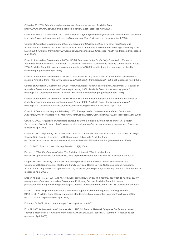Chiarella, M. 2005. *Literature review on models of care: key themes.* Available from: http://www.health.nsw.gov.au/nursing/pdf/moc-lit-review-5.pdf (accessed April 2008).

Consumer Focus Collaboration. 2001. *The evidence supporting consumer participation in health care.* Available from: http://www.participateinhealth.org.au/Clearinghouse/Docs/evidence.pdf (accessed April 2008).

Council of Australian Governments. 2008. *Intergovernmental Agreement for a national registration and accreditation scheme for the health professions.* Council of Australian Governments meeting Communiqué 26 March 2008. Available from: http://www.coag.gov.au/meetings/260308/docs/iga\_health\_workforce.pdf (accessed April 2008).

Council of Australian Governments. 2006a. *COAG Response to the Productivity Commission Report on Australia's Health Workforce*. Attachment A: Council of Australian Governments meeting Communiqué 14 July 2006. Available from: http://www.coag.gov.au/meetings/140706/docs/attachment\_a\_response\_pc\_health\_ workforce.pdf (accessed April 2008).

Council of Australian Governments. 2006b. *Communiqué 14 July 2006.* Council of Australian Governments meeting. Available from: http://www.coag.gov.au/meetings/140706/docs/coag140706.pdf (accessed April 2008).

Council of Australian Governments. 2006c. *Health workforce: national accreditation.* Attachment C: Council of Australian Governments meeting Communiqué 14 July 2006. Available from: http://www.coag.gov.au/ meetings/140706/docs/attachment\_c\_health\_workforce\_accreditation.pdf (accessed April 2008).

Council of Australian Governments. 2006d. *Health workforce: national registration.* Attachment B: Council of Australian Governments meeting Communiqué 14 July 2006. Available from: http://www.coag.gov.au/ meetings/140706/docs/attachment\_b\_health\_workforce\_registration.pdf (accessed April 2008).

Council of Deans of Nursing and Midwifery. 2007. *Pre-registration nurse education data collection and publication project*. Available from: http://www.cdnm.edu.au/pdfs/DOHAReport080303.pdf (accessed April 2008).

Cowie, A. 2007. *Regulation of healthcare support workers: a national pilot on behalf of the UK.* Scottish Government. Available from: http://www.nes.scot.nhs.uk/nursing/recent\_events/documents/Audrey\_Cowie.ppt (accessed April 2008).

Cowie, A. 2002. *Supporting the development of healthcare support workers in Scotland: final report.* Strategic Change Unit, Scottish Executive Health Department: Edinburgh. Available from: http://www.nes.scot.nhs.uk/documents/publications/classa/HCSWfinalreport.doc (accessed April 2008).

Cox, C. 2006. Bound to care. *Nursing Standard,* 21(2):16-18.

Davies, J. 2004. *For the love of alice.* The Bulletin 11 August 2004. Available from: http://www.agedcarecrisis.com/acc/show\_news.asp?id=newsitem&item=news1033 (accessed April 2008).

Draper, M. 1997. *Involving consumers in improving hospital care: lessons from Australian hospitals.*  Commonwealth Department of Health and Family Services, Health Service Outcomes Branch, Canberra. Available from: http://www.participateinhealth.org.au/clearinghouse/popup\_method.asp?method=document&id=77 (accessed April 2008).

Draper, M. and Hill, S. 1995. *The role of patient satisfaction surveys in a national approach to hospital quality management.* Canberra, Australian Government Publishing Service. Available from: http://www. participateinhealth.org.au/clearinghouse/popup\_method.asp?method=document&id=128 (accessed April 2008).

Duffin, C. 2006. Registered post: should healthcare support workers be regulated. *Nursing Standard*, 21(3):18-20. Available from: http://www.nursing-standard.co.uk/professionaldevelopment/healthcare\_2006/ hav21n03p1820.asp (accessed April 2008).

Dulhunty, G. 2002. What crime the aged? *Nursing.Aust,* 3(3):6-7.

Ellis, N. 2003 *Unlicensed Health Care Workers*. ANF 6th Biennial National Delegates Conference Hobart Tasmania Resolution E1. Available from: http://www.anf.org.au/anf\_pdf/NBDC\_Summary\_Resolutions.pdf (accessed April 2008).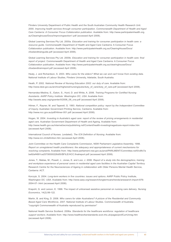Flinders University Department of Public Health and the South Australian Community Health Research Unit. 2000. *Improving health services through consumer participation. Commonwealth Department of Health and Aged Care Canberra: A Consumer Focus Collaboration publication.* Available from: http://www.participateinhealth.org. au/Clearinghouse/Docs/Improvingsection1.pdf (accessed April 2008).

Global Learning Services Pty Ltd. 2000a. *Education and training for consumer participation in health care: a resource guide.* Commonwealth Department of Health and Aged Care Canberra: A Consumer Focus Collaboration publication. Available from: http://www.participateinhealth.org.au/ClearingHouse/Docs/ cfcedandtrainguide.pdf (accessed April 2008).

Global Learning Services Pty Ltd. 2000b. *Education and training for consumer participation in health care: final report of project.* Commonwealth Department of Health and Aged Care Canberra: A Consumer Focus Collaboration publication. Available from: http://www.participateinhealth.org.au/clearinghouse/Docs/ cfcedandtrainreport.pdf (accessed April 2008).

Healy, J. and Richardson, S. 2003. *Who cares for the elders? What we can and can't know from existing data.*  National Institute of Labour Studies, Flinders University, Adelaide, South Australia.

Heath, P. 2002. *National Review of Nursing Education 2002: our duty of care.* Available from: http://www.dest.gov.au/archive/highered/nursing/pubs/duty\_of\_care/duty\_of\_care.pdf (accessed April 2008).

Hernandez-Medina, E., Eaton, S., Hurd, D. and White, A. 2006. *Training Programs for Certified Nursing Assistants. AARP Policy Institute: Washington DC, USA.* Available from: http://assets.aarp.org/rgcenter/il/2006\_08\_cna.pdf (accessed April 2008).

Hilmer, F., Rayner, M. and Taperell, G. 1993. *National competition policy: report by the Independent Committee of Inquiry.* Australian Government Printing Service, Canberra. Available from: http://www.ncc.gov.au/pdf/Hilmer-001.pdf (accessed April 2008).

Hogan, W. 2004. *Investing in Australia's aged care: report of the review of pricing arrangements in residential aged care.* Australian Government Department of Health and Ageing. Available from: http://www.health.gov.au/internet/wcms/publishing.nsf/Content/health-investinginagedcare-report-index.htm (accessed April 2008).

International Council of Nurses. (undated). *The ICN Definition of Nursing.* Available from: http://www.icn.ch/definition.htm (accessed April 2008).

Joint Committee on the Health Care Complaints Commission, NSW Parliament Legislative Assembly. 1998. *Report on unregistered health practitioners: the adequacy and appropriateness of current mechanisms for resolving complaints*. Available from: http://www.parliament.nsw.gov.au/prod/PARLMENT/Committee.nsf/0/c8fc7a be92ef4891ca25708300226d50/\$FILE/HCC.finalreport.pdf (accessed April 2008).

Jones, T., Matias, M., Powell, J., Jones, E. and Looi, J. 2006. *Report of a study into the demographics, training and workplace experience of personal carers in residential aged care facilities in the Australian Capital Territory.*  Research Centre for the Neurosciences of Ageing in collaboration with Older Persons Mental Health Service, Canberra: ACT.

Korczyk, S. 2004. *Long-term workers in five countries: issues and options*. AARP Public Policy Institute, Washington DC: USA. Available from: http://www.aarp.org/research/longtermcare/trends/aresearch-import-876- 2004-07-.html (accessed April 2008).

Krapohl, G. and Larson, E. 1996. The impact of unlicensed assistive personnel on nursing care delivery. *Nursing Economics*, 14(2):99-122.

Martin, B. and King, D. 2008. *Who carers for older Australians? A picture of the Residential and Community Based Aged Care Workforce, 2007*. National Institute of Labour Studies. Commonwealth of Australia. ''copyright Commonwealth of Australia reproduced by permission''

National Health Service Scotland. 2006a. *Standards for the healthcare workforce: regulation of healthcare support workers*. Available from: http://www.healthworkerstandards.scot.nhs.uk/pages/profCurrUnreg.htm (accessed April 2008).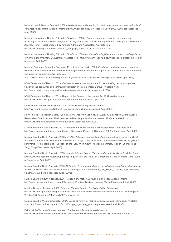National Health Service Scotland. 2006b. *National standards relating to healthcare support workers in Scotland: consultation document.* Available from: http://www.scotland.gov.uk/Resource/Doc/924/0030505.pdf (accessed April 2008).

National Nursing and Nursing Education Taskforce. 2006a. *Toward consistent regulation of nursing and midwifery in Australia: a select analysis of the legislation and professional regulation of nursing and midwifery in Australia.* Final Report prepared by Amanda Adrian and Associates. Available from: http://www.nnnet.gov.au/downloads/rec4\_mapping\_report.pdf (accessed April 2008).

National Nursing and Nursing Education Taskforce. 2006. *An atlas of the legislation and professional regulation of nursing and midwifery in Australia.* Available from: http://www.nnnet.gov.au/downloads/rec4\_atlascomplete.pdf (accessed April 2008).

National Resource Centre for Consumer Participation in Health. 2000. *Feedback, participation and consumer diversity: a literature review.* Commonwealth Department of Health and Aged Care Canberra: A Consumer Focus Collaboration publication. Available from:

http://www.participateinhealth.org.au/ClearingHouse/Docs/cfcfeedbacklitreview.pdf (accessed April 2008).

NSW Department of Health. 2001a. *Partners in health: sharing information and making decisions together.*  Report of the consumer and community participation implementation group. Available from: http://www.health.nsw.gov.au/policy/participate/partners.html (accessed April 2008).

NSW Department of Health. 2001b. Report of the Review of the Nurses Act 1991. Available from: http://www.health.nsw.gov.au/legal/pdf/nursesreport.pdf (accessed April 2008).

NSW Nurses and Midwives Board. 2008. *News! National registration update.* http://www.nmb.nsw.gov.au/National-Registration/default.aspx (accessed April 2008).

NSW Nurses Registration Board. 1998. *History of the New South Wales Nurses Registration Board.* Nurses Registration Board, Sydney 1989 (reissued edition for publication on internet, 1998). Available from: http://www.nmb.nsw.gov.au/History/default.aspx (accessed April 2008).

Nurses Board of South Australia. 2002. Unregulated Health Workers. Discussion Paper. Available from: http://www.nursesboard.sa.gov.au/pdf/nbsa\_Discussion\_Paper\_UHCW\_June\_2002.pdf (accessed April 2008).

Nurses Board of South Australia. 2003a. *Profile of the role and function of unregulated care workers in South Australia.* Summary report of written submissions: Stage 1. Available from: http://www.nursesboard.sa.gov.au/ pdf/Profile of the Role and Function of the UHCW in South Australia Summary Report Submissions Jan\_2003.pdf (accessed April 2008).

Nurses Board of South Australia. 2003b. *Inquiry into the Role of Unregulated Health Workers.* Available from: http://www.nursesboard.sa.gov.au/pdf/nbsa\_Inquiry\_into\_the\_Role\_of\_Unregulated\_Care\_Workers\_June\_2003. pdf (accessed April 2008).

Nurses Board of South Australia. 2005. *Delegation by a registered nurse or midwife to an unlicensed healthcare*  worker. Available from: http://www.nursesboard.sa.gov.au/pdf/Standards\_Del\_RN\_or\_Midwife\_to\_Unlicensed Healthcare Worker.pdf (accessed April 2008).

Nurses Board of South Australia. 2006. *A Scope of Practice Decision Making Tool.* Available from: http://www.nursesboard.sa.gov.au/pdf/Scope\_of\_Practice\_Decision\_Making\_Tool.pdf (accessed April 2008).

Nursing Board of Tasmania. 2006. *Scope of Nursing Practice Decision Making Framework.* http://www.nursingboardtas.org.au/nbtonline.nsf/attachment/SoPDMFFinal/\$File/Scope%20of%20Nursing%20 Practice%20Decision%20Making%20Framework.pdf.

Nurses Board of Western Australia. 2004. *Scope of Nursing Practice Decision-Making Framework.* Available from: http://www.nmbwa.org.au/2/2041/50/scope\_of\_nursing\_practice.pm (accessed April 2008).

Paine, M. 2006a. *Aged homes care fear.* The Mercury, Tasmania. Available from: http://www.agedcarecrisis.com/acc/show\_news.asp?id=newsitem&item=news1396 (accessed April 2008).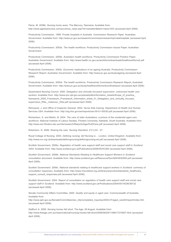Paine, M. 2006b. *Nursing home woes*. The Mercury, Tasmania. Available from: http://www.agedcarecrisis.com/acc/show\_news.asp?id=newsitem&item=news1423 (accessed April 2008).

Productivity Commission. 1999. *Private hospitals in Australia. Commission Research Paper.* Australian Government. Available from: http://www.pc.gov.au/research/commissionresearch/privatehospitals (accessed April 2008).

Productivity Commission. 2005a. *The health workforce.* Productivity Commission Issues Paper. Australian Government.

Productivity Commission. 2005b. *Australia's health workforce*. Productivity Commission Position Paper. Australian Government. Available from: http://www.health.vic.gov.au/workforce/downloads/healthworkforce2.pdf (accessed April 2008).

Productivity Commission. 2005c. *Economic implications of an ageing Australia.* Productivity Commission Research Report, Australian Government. Available from: http://www.pc.gov.au/study/ageing (accessed April 2008).

Productivity Commission. 2005d. *The health workforce*. Productivity Commission Research Report, Australian Government. Available from: http://www.pc.gov.au/study/healthworkforce/docs/finalreport (accessed April 2008).

Queensland Nursing Council. 2005. *Delegation and clinically focussed supervision: unlicensed health care*  workers. Available from: http://www.qnc.qld.gov.au/upload/pdfs/information\_sheets/Scope\_of\_practice framework\_2005\_Framework\_/Framework\_information\_sheet\_01\_Delegation\_and\_clinically\_focused\_ supervision\_RNs,\_midwives,\_ENs.pdf (accessed April 2008).

Rehnquist, J. and Office of Inspector General. 2002. *Nurse Aide training.* Department of Health and Human Services USA. Available from: http://oig.hhs.gov/oei/reports/oei-05-01-00030.pdf (accessed April 2008).

Richardson, S. and Martin, B. 2004. *The care of older Australians: a picture of the residential aged care workforce*. National Institute of Labour Studies, Flinders University, Adelaide, South Australia. Available from: http://www.ssn.flinders.edu.au/nils/research/Reports/Aged%20Care.pdf (accessed April 2008).

Robertson, G. 2006. Sharing the care. *Nursing Standard,* 21(1):22 - 27.

Royal College of Nursing. 2003. *Defining nursing: def Nursing is… London, United Kingdom.* Available from: http://www.rcn.org.uk/downloads/definingnursing/definingnursing-a4.pdf (accessed April 2008).

Scottish Government. 2006a. *Regulation of health care support staff and social care support staff in Scotland 2004.* Available from: http://www.scotland.gov.uk/Publications/2006/05/HCSW (accessed April 2008).

Scottish Government. 2006b. *National Standards Relating to Healthcare Support Workers in Scotland: consultation document.* Available from: http://www.scotland.gov.uk/Resource/Doc/924/0030505.pdf (accessed April 2008).

Scottish Government. 2006c. *National standards relating to healthcare support workers in Scotland: summary of consultation responses.* Available from: http://www.vhscotland.org.uk/library/executive/standards\_healthcare\_ support\_consult\_responses.pdf (accessed April 2008).

Scottish Government. 2004. *Report of consultation on regulation of health care support staff and social care support staff in Scotland.* Available from: http://www.scotland.gov.uk/Publications/2004/05/19336/36732 (accessed April 2008).

Senate Community Affairs Committee. 2005. *Quality and equity in aged care.* Commonwealth of Australia. Available from:

http://www.aph.gov.au/Senate/Committee/clac\_ctte/completed\_inquiries/2004-07/aged\_care04/report/index.htm (accessed April 2008).

Stafford, A. 2006. *Nursing homes fall short*. The Age: 29 August. Available from: http://www.theage.com.au/news/national/nursing-homes-fall-short/2006/08/28/1156617274927.html (accessed April 2008).